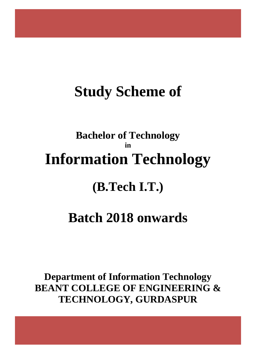# **Study Scheme of**

# **Bachelor of Technology in Information Technology**

# **(B.Tech I.T.)**

# **Batch 2018 onwards**

**Department of Information Technology BEANT COLLEGE OF ENGINEERING & TECHNOLOGY, GURDASPUR**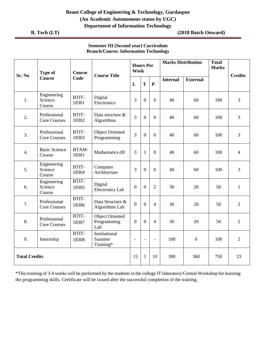**B. Tech (I.T) (2018 Batch Onward)**

| Sr. No               | <b>Type of</b>                      | <b>Course</b>         | <b>Course Title</b>                          | <b>Hours Per</b><br>Week |                  |                  | <b>Marks Distribution</b> |                 | <b>Total</b><br><b>Marks</b> | <b>Credits</b> |
|----------------------|-------------------------------------|-----------------------|----------------------------------------------|--------------------------|------------------|------------------|---------------------------|-----------------|------------------------------|----------------|
|                      | <b>Course</b>                       | Code                  |                                              | $\mathbf L$              | T                | $\mathbf{P}$     | <b>Internal</b>           | <b>External</b> |                              |                |
| 1.                   | Engineering<br>Science<br>Course    | BTIT-<br>18301        | Digital<br>Electronics                       | 3                        | $\overline{0}$   | $\theta$         | 40                        | 60              | 100                          | 3              |
| 2.                   | Professional<br><b>Core Courses</b> | BTIT-<br>18302        | Data structure &<br>Algorithms               | $\overline{3}$           | $\overline{0}$   | $\theta$         | 40                        | 60              | 100                          | 3              |
| 3.                   | Professional<br><b>Core Courses</b> | BTIT-<br>18303        | <b>Object Oriented</b><br>Programming        | 3                        | $\overline{0}$   | $\boldsymbol{0}$ | 40                        | 60              | 100                          | 3              |
| $\overline{4}$ .     | <b>Basic Science</b><br>Course      | <b>BTAM-</b><br>18301 | Mathematics-III                              | 3                        | $\mathbf{1}$     | $\overline{0}$   | 40                        | 60              | 100                          | $\overline{4}$ |
| 5.                   | Engineering<br>Science<br>Course    | BTIT-<br>18304        | Computer<br>Architecture                     | 3                        | $\boldsymbol{0}$ | $\overline{0}$   | 40                        | 60              | 100                          | 3              |
| 6.                   | Engineering<br>Science<br>Course    | BTIT-<br>18305        | Digital<br><b>Electronics Lab</b>            | $\boldsymbol{0}$         | $\Omega$         | $\overline{2}$   | 30                        | 20              | 50                           | $\mathbf{1}$   |
| 7.                   | Professional<br><b>Core Courses</b> | BTIT-<br>18306        | Data Structure &<br>Algorithms Lab           | $\overline{0}$           | $\overline{0}$   | $\overline{4}$   | 30                        | 20              | 50                           | $\overline{2}$ |
| 8.                   | Professional<br><b>Core Courses</b> | BTIT-<br>18307        | <b>Object Oriented</b><br>Programming<br>Lab | $\boldsymbol{0}$         | $\overline{0}$   | $\overline{4}$   | 30                        | 20              | 50                           | $\overline{2}$ |
| 9.                   | Internship                          | BTIT-<br>18308        | Institutional<br>Summer<br>Training*         | $\overline{\phantom{a}}$ | $\blacksquare$   | $\blacksquare$   | 100                       | $\overline{0}$  | 100                          | $\overline{2}$ |
| <b>Total Credits</b> |                                     |                       |                                              | 15                       | $\mathbf{1}$     | 10               | 390                       | 360             | 750                          | 23             |

#### **Semester III (Second year) Curriculum Branch/Course: Information Technology**

\*This training of 3-4 weeks will be performed by the students in the college IT laboratory/Central Workshop for learning the programming skills. Certificate will be issued after the successful completion of the training.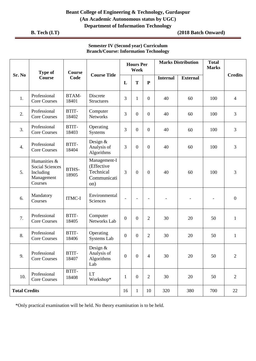**B. Tech (I.T) (2018 Batch Onward)**

| <b>Semester IV (Second year) Curriculum</b>  |  |
|----------------------------------------------|--|
| <b>Branch/Course: Information Technology</b> |  |

|                      | <b>Type of</b><br><b>Course</b>                                              | <b>Course</b>         | <b>Course Title</b>                                           |                  | <b>Hours Per</b><br>Week |                          |                 | <b>Marks Distribution</b> | <b>Total</b><br><b>Marks</b> |                  |
|----------------------|------------------------------------------------------------------------------|-----------------------|---------------------------------------------------------------|------------------|--------------------------|--------------------------|-----------------|---------------------------|------------------------------|------------------|
| Sr. No               |                                                                              | Code                  |                                                               | L                | T                        | $\mathbf{P}$             | <b>Internal</b> | <b>External</b>           |                              | <b>Credits</b>   |
| 1.                   | Professional<br><b>Core Courses</b>                                          | <b>BTAM-</b><br>18401 | Discrete<br><b>Structures</b>                                 | 3                | $\mathbf{1}$             | $\boldsymbol{0}$         | 40              | 60                        | 100                          | $\overline{4}$   |
| 2.                   | Professional<br><b>Core Courses</b>                                          | BTIT-<br>18402        | Computer<br><b>Networks</b>                                   | 3                | $\boldsymbol{0}$         | $\boldsymbol{0}$         | 40              | 60                        | 100                          | $\mathfrak{Z}$   |
| 3.                   | Professional<br><b>Core Courses</b>                                          | BTIT-<br>18403        | Operating<br>Systems                                          | 3                | $\boldsymbol{0}$         | $\boldsymbol{0}$         | 40              | 60                        | 100                          | $\mathfrak{Z}$   |
| $\overline{4}$ .     | Professional<br><b>Core Courses</b>                                          | BTIT-<br>18404        | Design $&$<br>Analysis of<br>Algorithms                       | 3                | $\mathbf{0}$             | $\boldsymbol{0}$         | 40              | 60                        | 100                          | $\overline{3}$   |
| 5.                   | Humanities &<br><b>Social Sciences</b><br>Including<br>Management<br>Courses | <b>BTHS-</b><br>18905 | Management-I<br>(Effective<br>Technical<br>Communicati<br>on) | $\overline{3}$   | $\mathbf{0}$             | $\boldsymbol{0}$         | 40              | 60                        | 100                          | 3                |
| 6.                   | Mandatory<br>Courses                                                         | <b>ITMC-I</b>         | Environmental<br>Sciences                                     | $\blacksquare$   | $\overline{\phantom{a}}$ | $\overline{\phantom{a}}$ |                 |                           | $\overline{\phantom{a}}$     | $\boldsymbol{0}$ |
| 7.                   | Professional<br><b>Core Courses</b>                                          | BTIT-<br>18405        | Computer<br>Networks Lab                                      | $\boldsymbol{0}$ | $\overline{0}$           | $\overline{2}$           | 30              | 20                        | 50                           | $\mathbf{1}$     |
| 8.                   | Professional<br><b>Core Courses</b>                                          | BTIT-<br>18406        | Operating<br>Systems Lab                                      | $\boldsymbol{0}$ | $\boldsymbol{0}$         | $\overline{2}$           | 30              | 20                        | 50                           | $\mathbf{1}$     |
| 9.                   | Professional<br><b>Core Courses</b>                                          | BTIT-<br>18407        | Design $&$<br>Analysis of<br>Algorithms<br>Lab                | $\boldsymbol{0}$ | $\boldsymbol{0}$         | $\overline{4}$           | 30              | 20                        | 50                           | $\overline{2}$   |
| 10.                  | Professional<br><b>Core Courses</b>                                          | BTIT-<br>18408        | I.T<br>Workshop*                                              | $\mathbf{1}$     | $\boldsymbol{0}$         | $\overline{2}$           | 30              | 20                        | 50                           | $\mathbf{2}$     |
| <b>Total Credits</b> |                                                                              |                       |                                                               | 16               | $\mathbf{1}$             | 10                       | 320             | 380                       | 700                          | 22               |

\*Only practical examination will be held. No theory examination is to be held.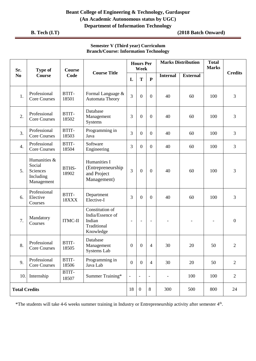**B. Tech (I.T) (2018 Batch Onward)**

#### **Semester V (Third year) Curriculum Branch/Course: Information Technology**

| Sr.                  | <b>Type of</b>                                                | <b>Course</b>         |                                                                           |                          | <b>Hours Per</b><br>Week |                          |                 | <b>Marks Distribution</b> | <b>Total</b><br><b>Marks</b> |                  |
|----------------------|---------------------------------------------------------------|-----------------------|---------------------------------------------------------------------------|--------------------------|--------------------------|--------------------------|-----------------|---------------------------|------------------------------|------------------|
| N <sub>0</sub>       | <b>Course</b>                                                 | Code                  | <b>Course Title</b>                                                       | L                        | T                        | $\mathbf{P}$             | <b>Internal</b> | <b>External</b>           |                              | <b>Credits</b>   |
| 1.                   | Professional<br><b>Core Courses</b>                           | BTIT-<br>18501        | Formal Language &<br><b>Automata Theory</b>                               | 3                        | $\theta$                 | $\overline{0}$           | 40              | 60                        | 100                          | 3                |
| 2.                   | Professional<br><b>Core Courses</b>                           | BTIT-<br>18502        | Database<br>Management<br><b>Systems</b>                                  | 3                        | $\boldsymbol{0}$         | $\boldsymbol{0}$         | 40              | 60                        | 100                          | 3                |
| 3.                   | Professional<br><b>Core Courses</b>                           | BTIT-<br>18503        | Programming in<br>Java                                                    | 3                        | $\overline{0}$           | $\overline{0}$           | 40              | 60                        | 100                          | 3                |
| $\overline{4}$ .     | Professional<br><b>Core Courses</b>                           | BTIT-<br>18504        | Software<br>Engineering                                                   | 3                        | $\overline{0}$           | $\boldsymbol{0}$         | 40              | 60                        | 100                          | 3                |
| 5.                   | Humanities &<br>Social<br>Sciences<br>Including<br>Management | <b>BTHS-</b><br>18902 | Humanities I<br>(Entrepreneurship<br>and Project<br>Management)           | 3                        | $\overline{0}$           | $\mathbf{0}$             | 40              | 60                        | 100                          | 3                |
| 6.                   | Professional<br>Elective<br>Courses                           | BTIT-<br>18XXX        | Department<br>Elective-I                                                  | 3                        | $\boldsymbol{0}$         | $\boldsymbol{0}$         | 40              | 60                        | 100                          | 3                |
| 7.                   | Mandatory<br>Courses                                          | <b>ITMC-II</b>        | Constitution of<br>India/Essence of<br>Indian<br>Traditional<br>Knowledge | $\overline{\phantom{a}}$ | $\overline{\phantom{a}}$ | $\overline{\phantom{a}}$ |                 |                           | $\overline{\phantom{a}}$     | $\boldsymbol{0}$ |
| 8.                   | Professional<br><b>Core Courses</b>                           | BTIT-<br>18505        | Database<br>Management<br>Systems Lab                                     | $\overline{0}$           | 0                        | $\overline{4}$           | 30              | 20                        | 50                           | $\overline{2}$   |
| 9.                   | Professional<br><b>Core Courses</b>                           | BTIT-<br>18506        | Programming in<br>Java Lab                                                | $\boldsymbol{0}$         | $\mathbf{0}$             | $\overline{4}$           | 30              | 20                        | 50                           | $\overline{2}$   |
| 10.                  | Internship                                                    | BTIT-<br>18507        | Summer Training*                                                          | $\overline{\phantom{a}}$ | $\overline{\phantom{a}}$ | $\qquad \qquad -$        | -               | 100                       | 100                          | $\overline{2}$   |
| <b>Total Credits</b> |                                                               |                       |                                                                           | 18                       | $\boldsymbol{0}$         | $8\,$                    | 300             | 500                       | 800                          | 24               |

\*The students will take 4-6 weeks summer training in Industry or Entrepreneurship activity after semester 4<sup>th</sup>.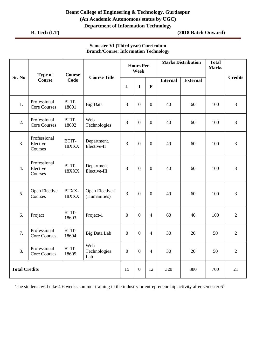**B. Tech (I.T) (2018 Batch Onward)**

|                      | <b>Type of</b>                      | <b>Course</b>  | <b>Course Title</b>             |                  | <b>Hours Per</b><br>Week |                  |                 | <b>Marks Distribution</b> | <b>Total</b><br><b>Marks</b> |                |
|----------------------|-------------------------------------|----------------|---------------------------------|------------------|--------------------------|------------------|-----------------|---------------------------|------------------------------|----------------|
| Sr. No               | <b>Course</b>                       | Code           |                                 | L                | T                        | ${\bf P}$        | <b>Internal</b> | <b>External</b>           |                              | <b>Credits</b> |
| 1.                   | Professional<br><b>Core Courses</b> | BTIT-<br>18601 | <b>Big Data</b>                 | 3                | $\boldsymbol{0}$         | $\boldsymbol{0}$ | 40              | 60                        | 100                          | $\mathfrak{Z}$ |
| 2.                   | Professional<br><b>Core Courses</b> | BTIT-<br>18602 | Web<br>Technologies             | 3                | $\boldsymbol{0}$         | $\boldsymbol{0}$ | 40              | 60                        | 100                          | $\overline{3}$ |
| 3.                   | Professional<br>Elective<br>Courses | BTIT-<br>18XXX | Department.<br>Elective-II      | 3                | $\boldsymbol{0}$         | $\overline{0}$   | 40              | 60                        | 100                          | $\overline{3}$ |
| $\overline{4}$ .     | Professional<br>Elective<br>Courses | BTIT-<br>18XXX | Department<br>Elective-III      | 3                | $\boldsymbol{0}$         | $\boldsymbol{0}$ | 40              | 60                        | 100                          | $\overline{3}$ |
| 5.                   | Open Elective<br>Courses            | BTXX-<br>18XXX | Open Elective-I<br>(Humanities) | 3                | $\boldsymbol{0}$         | $\boldsymbol{0}$ | 40              | 60                        | 100                          | $\overline{3}$ |
| 6.                   | Project                             | BTIT-<br>18603 | Project-1                       | $\boldsymbol{0}$ | $\boldsymbol{0}$         | $\overline{4}$   | 60              | 40                        | 100                          | $\overline{2}$ |
| 7.                   | Professional<br><b>Core Courses</b> | BTIT-<br>18604 | <b>Big Data Lab</b>             | $\boldsymbol{0}$ | $\boldsymbol{0}$         | $\overline{4}$   | 30              | 20                        | 50                           | $\overline{2}$ |
| 8.                   | Professional<br><b>Core Courses</b> | BTIT-<br>18605 | Web<br>Technologies<br>Lab      | $\boldsymbol{0}$ | $\boldsymbol{0}$         | $\overline{4}$   | 30              | 20                        | 50                           | $\overline{2}$ |
| <b>Total Credits</b> |                                     |                |                                 | 15               | $\boldsymbol{0}$         | 12               | 320             | 380                       | 700                          | 21             |

#### **Semester VI (Third year) Curriculum Branch/Course: Information Technology**

The students will take 4-6 weeks summer training in the industry or entrepreneurship activity after semester  $6<sup>th</sup>$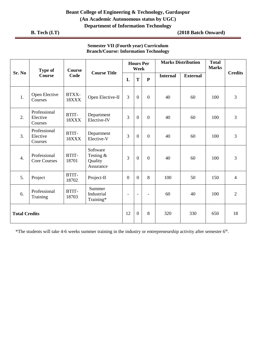**B. Tech (I.T) (2018 Batch Onward)**

## **Semester VII (Fourth year) Curriculum Branch/Course: Information Technology**

|                      | <b>Type of</b>                      | <b>Course</b>  | <b>Course Title</b>                           | <b>Hours Per</b><br>Week |                  |                | <b>Marks Distribution</b> |                 | <b>Total</b><br><b>Marks</b> |                |
|----------------------|-------------------------------------|----------------|-----------------------------------------------|--------------------------|------------------|----------------|---------------------------|-----------------|------------------------------|----------------|
| Sr. No               | <b>Course</b>                       | Code           |                                               | L                        | T                | ${\bf P}$      | <b>Internal</b>           | <b>External</b> |                              | <b>Credits</b> |
| 1.                   | Open Elective<br>Courses            | BTXX-<br>18XXX | Open Elective-II                              | 3                        | $\boldsymbol{0}$ | $\overline{0}$ | 40                        | 60              | 100                          | 3              |
| 2.                   | Professional<br>Elective<br>Courses | BTIT-<br>18XXX | Department<br>Elective-IV                     | 3                        | $\overline{0}$   | $\overline{0}$ | 40                        | 60              | 100                          | 3              |
| 3.                   | Professional<br>Elective<br>Courses | BTIT-<br>18XXX | Department<br>Elective-V                      | 3                        | $\boldsymbol{0}$ | $\overline{0}$ | 40                        | 60              | 100                          | 3              |
| $\overline{4}$ .     | Professional<br><b>Core Courses</b> | BTIT-<br>18701 | Software<br>Testing &<br>Quality<br>Assurance | 3                        | $\boldsymbol{0}$ | $\mathbf{0}$   | 40                        | 60              | 100                          | 3              |
| 5.                   | Project                             | BTIT-<br>18702 | Project-II                                    | $\overline{0}$           | $\overline{0}$   | 8              | 100                       | 50              | 150                          | $\overline{4}$ |
| 6.                   | Professional<br>Training            | BTIT-<br>18703 | Summer<br>Industrial<br>Training*             | $\overline{\phantom{a}}$ | $\blacksquare$   |                | 60                        | 40              | 100                          | $\overline{2}$ |
| <b>Total Credits</b> |                                     |                |                                               | 12                       | $\overline{0}$   | 8              | 320                       | 330             | 650                          | 18             |

\*The students will take 4-6 weeks summer training in the industry or entrepreneurship activity after semester  $6<sup>th</sup>$ .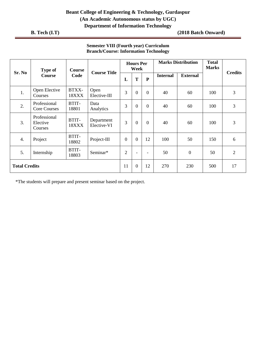**B. Tech (I.T) (2018 Batch Onward)**

| Sr. No               | <b>Type of</b>                      | <b>Course</b><br>Code | <b>Course Title</b>       | <b>Hours Per</b><br>Week |                          |                          | <b>Marks Distribution</b> |                 | <b>Total</b><br><b>Marks</b> |                |
|----------------------|-------------------------------------|-----------------------|---------------------------|--------------------------|--------------------------|--------------------------|---------------------------|-----------------|------------------------------|----------------|
|                      | Course                              |                       |                           | L                        | T                        | ${\bf P}$                | <b>Internal</b>           | <b>External</b> |                              | <b>Credits</b> |
| 1.                   | Open Elective<br>Courses            | BTXX-<br>18XXX        | Open<br>Elective-III      | 3                        | $\overline{0}$           | $\overline{0}$           | 40                        | 60              | 100                          | 3              |
| 2.                   | Professional<br><b>Core Courses</b> | BTIT-<br>18801        | Data<br>Analytics         | 3                        | $\overline{0}$           | $\overline{0}$           | 40                        | 60              | 100                          | 3              |
| 3.                   | Professional<br>Elective<br>Courses | BTIT-<br>18XXX        | Department<br>Elective-VI | 3                        | $\boldsymbol{0}$         | $\overline{0}$           | 40                        | 60              | 100                          | 3              |
| 4.                   | Project                             | BTIT-<br>18802        | Project-III               | $\overline{0}$           | $\overline{0}$           | 12                       | 100                       | 50              | 150                          | 6              |
| 5.                   | Internship                          | BTIT-<br>18803        | Seminar*                  | $\overline{2}$           | $\overline{\phantom{0}}$ | $\overline{\phantom{a}}$ | 50                        | $\overline{0}$  | 50                           | $\overline{2}$ |
| <b>Total Credits</b> |                                     |                       |                           | 11                       | $\mathbf{0}$             | 12                       | 270                       | 230             | 500                          | 17             |

# **Semester VIII (Fourth year) Curriculum Branch/Course: Information Technology**

\*The students will prepare and present seminar based on the project.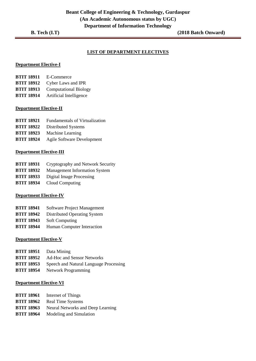#### **LIST OF DEPARTMENT ELECTIVES**

#### **Department Elective-I**

| <b>BTIT 18911</b> | E-Commerce                   |
|-------------------|------------------------------|
| <b>BTIT 18912</b> | Cyber Laws and IPR           |
| <b>BTIT 18913</b> | <b>Computational Biology</b> |
| <b>BTIT 18914</b> | Artificial Intelligence      |

#### **Department Elective-II**

| <b>BTIT 18921</b> | Fundamentals of Virtualization |
|-------------------|--------------------------------|
| <b>BTIT 18922</b> | Distributed Systems            |

- **BTIT 18923** Machine Learning
- **BTIT 18924** Agile Software Development

#### **Department Elective-III**

- **BTIT 18931** Cryptography and Network Security
- **BTIT 18932** Management Information System
- **BTIT 18933** Digital Image Processing
- **BTIT 18934** Cloud Computing

#### **Department Elective-IV**

- **BTIT 18941** Software Project Management
- **BTIT 18942** Distributed Operating System
- **BTIT 18943** Soft Computing
- **BTIT 18944** Human Computer Interaction

#### **Department Elective-V**

| <b>BTIT 18951</b> | Data Mining                            |
|-------------------|----------------------------------------|
| <b>BTIT 18952</b> | <b>Ad-Hoc and Sensor Networks</b>      |
| <b>BTIT 18953</b> | Speech and Natural Language Processing |
| <b>BTIT 18954</b> | <b>Network Programming</b>             |

#### **Department Elective-VI**

- **BTIT 18961** Internet of Things
- **BTIT 18962** Real Time Systems
- **BTIT 18963** Neural Networks and Deep Learning
- **BTIT 18964** Modeling and Simulation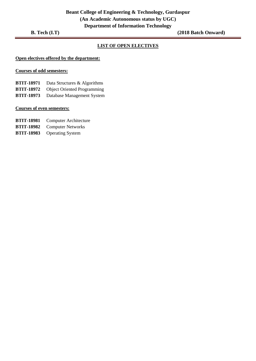#### **LIST OF OPEN ELECTIVES**

#### **Open electives offered by the department:**

#### **Courses of odd semesters:**

**BTIT-18971** Data Structures & Algorithms

- **BTIT-18972** Object Oriented Programming
- **BTIT-18973** Database Management System

#### **Courses of even semesters:**

- **BTIT-18981** Computer Architecture
- **BTIT-18982** Computer Networks
- **BTIT-18983** Operating System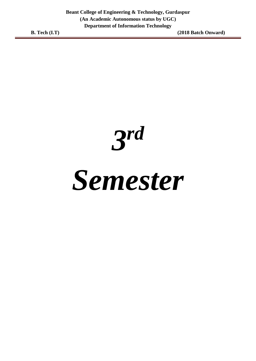*3 rd*

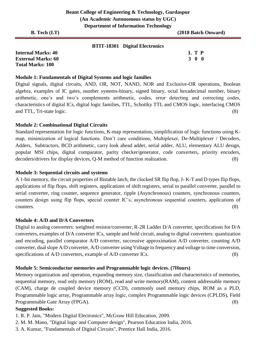| <b>B.</b> Tech $(I.T)$ | D                                     | (2018 Batch Onward) |
|------------------------|---------------------------------------|---------------------|
|                        | <b>BTIT-18301 Digital Electronics</b> |                     |

| <b>Internal Marks: 40</b> |  | L T P             |  |
|---------------------------|--|-------------------|--|
| <b>External Marks: 60</b> |  | $3\quad 0\quad 0$ |  |
| <b>Total Marks: 100</b>   |  |                   |  |

# **Module 1: Fundamentals of Digital Systems and logic families**

Digital signals, digital circuits, AND, OR, NOT, NAND, NOR and Exclusive-OR operations, Boolean algebra, examples of IC gates, number systems-binary, signed binary, octal hexadecimal number, binary arithmetic, one's and two's complements arithmetic, codes, error detecting and correcting codes, characteristics of digital ICs, digital logic families, TTL, Schottky TTL and CMOS logic, interfacing CMOS and TTL, Tri-state logic. (8)

# **Module 2: Combinational Digital Circuits**

Standard representation for logic functions, K-map representation, simplification of logic functions using Kmap, minimization of logical functions. Don't care conditions, Multiplexer, De-Multiplexer / Decoders, Adders, Subtractors, BCD arithmetic, carry look ahead adder, serial adder, ALU, elementary ALU design, popular MSI chips, digital comparator, parity checker/generator, code converters, priority encoders, decoders/drivers for display devices, Q-M method of function realization. (8)

# **Module 3: Sequential circuits and systems**

A 1-bit memory, the circuit properties of Bistable latch, the clocked SR flip flop, J- K-T and D types flip flops, applications of flip flops, shift registers, applications of shift registers, serial to parallel converter, parallel to serial converter, ring counter, sequence generator, ripple (Asynchronous) counters, synchronous counters, counters design using flip flops, special counter IC's, asynchronous sequential counters, applications of counters. (8)

# **Module 4: A/D and D/A Converters**

Digital to analog converters: weighted resistor/converter, R-2R Ladder D/A converter, specifications for D/A converters, examples of D/A converter ICs, sample and hold circuit, analog to digital converters: quantization and encoding, parallel comparator A/D converter, successive approximation A/D converter, counting A/D converter, dual slope A/D converter, A/D converter using Voltage to frequency and voltage to time conversion, specifications of A/D converters, example of A/D converter ICs. (8)

# **Module 5: Semiconductor memories and Programmable logic devices. (7Hours)**

Memory organization and operation, expanding memory size, classification and characteristics of memories, sequential memory, read only memory (ROM), read and write memory(RAM), content addressable memory (CAM), charge de coupled device memory (CCD), commonly used memory chips, ROM as a PLD, Programmable logic array, Programmable array logic, complex Programmable logic devices (CPLDS), Field Programmable Gate Array (FPGA). (8)

# **Suggested Books:**

- 1. R. P. Jain, "Modern Digital Electronics", McGraw Hill Education, 2009.
- 2. M. M. Mano, "Digital logic and Computer design", Pearson Education India, 2016.
- 3. A. Kumar, "Fundamentals of Digital Circuits", Prentice Hall India, 2016.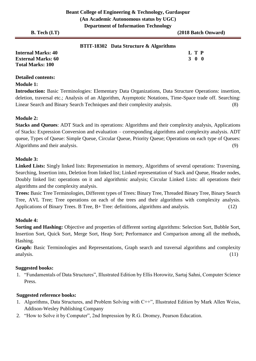|  | <b>BTIT-18302</b> Data Structure & Algorithms |  |
|--|-----------------------------------------------|--|
|--|-----------------------------------------------|--|

| <b>Internal Marks: 40</b> | L T P             |
|---------------------------|-------------------|
| <b>External Marks: 60</b> | $3\quad 0\quad 0$ |
| <b>Total Marks: 100</b>   |                   |

# **Detailed contents:**

#### **Module 1:**

**Introduction:** Basic Terminologies: Elementary Data Organizations, Data Structure Operations: insertion, deletion, traversal etc.; Analysis of an Algorithm, Asymptotic Notations, Time-Space trade off. Searching: Linear Search and Binary Search Techniques and their complexity analysis. (8)

### **Module 2:**

**Stacks and Queues**: ADT Stack and its operations: Algorithms and their complexity analysis, Applications of Stacks: Expression Conversion and evaluation – corresponding algorithms and complexity analysis. ADT queue, Types of Queue: Simple Queue, Circular Queue, Priority Queue; Operations on each type of Queues: Algorithms and their analysis. (9)

### **Module 3:**

**Linked Lists:** Singly linked lists: Representation in memory, Algorithms of several operations: Traversing, Searching, Insertion into, Deletion from linked list; Linked representation of Stack and Queue, Header nodes, Doubly linked list: operations on it and algorithmic analysis; Circular Linked Lists: all operations their algorithms and the complexity analysis.

**Trees:** Basic Tree Terminologies, Different types of Trees: Binary Tree, Threaded Binary Tree, Binary Search Tree, AVL Tree; Tree operations on each of the trees and their algorithms with complexity analysis. Applications of Binary Trees. B Tree, B+ Tree: definitions, algorithms and analysis. (12)

### **Module 4:**

**Sorting and Hashing:** Objective and properties of different sorting algorithms: Selection Sort, Bubble Sort, Insertion Sort, Quick Sort, Merge Sort, Heap Sort; Performance and Comparison among all the methods, Hashing.

**Graph:** Basic Terminologies and Representations, Graph search and traversal algorithms and complexity analysis. (11)

### **Suggested books:**

1. "Fundamentals of Data Structures", Illustrated Edition by Ellis Horowitz, Sartaj Sahni, Computer Science Press.

# **Suggested reference books:**

- 1. Algorithms, Data Structures, and Problem Solving with C++", Illustrated Edition by Mark Allen Weiss, Addison-Wesley Publishing Company
- 2. "How to Solve it by Computer", 2nd Impression by R.G. Dromey, Pearson Education.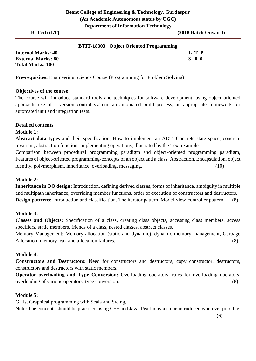#### **BTIT-18303 Object Oriented Programming**

**Internal Marks: 40 L T P External Marks: 60 3 0 0 Total Marks: 100** 

**Pre-requisites:** Engineering Science Course (Programming for Problem Solving)

#### **Objectives of the course**

The course will introduce standard tools and techniques for software development, using object oriented approach, use of a version control system, an automated build process, an appropriate framework for automated unit and integration tests.

#### **Detailed contents**

#### **Module 1:**

**Abstract data types** and their specification, How to implement an ADT. Concrete state space, concrete invariant, abstraction function. Implementing operations, illustrated by the Text example.

Comparison between procedural programming paradigm and object-oriented programming paradigm, Features of object-oriented programming-concepts of an object and a class, Abstraction, Encapsulation, object identity, polymorphism, inheritance, overloading, messaging. (10)

#### **Module 2:**

**Inheritance in OO design:** Introduction, defining derived classes, forms of inheritance, ambiguity in multiple and multipath inheritance, overriding member functions, order of execution of constructors and destructors. **Design patterns:** Introduction and classification. The iterator pattern. Model-view-controller pattern. (8)

### **Module 3:**

**Classes and Objects:** Specification of a class, creating class objects, accessing class members, access specifiers, static members, friends of a class, nested classes, abstract classes.

Memory Management: Memory allocation (static and dynamic), dynamic memory management, Garbage Allocation, memory leak and allocation failures. (8)

### **Module 4:**

**Constructors and Destructors:** Need for constructors and destructors, copy constructor, destructors, constructors and destructors with static members.

**Operator overloading and Type Conversion:** Overloading operators, rules for overloading operators, overloading of various operators, type conversion. (8)

#### **Module 5:**

GUIs. Graphical programming with Scala and Swing,

Note: The concepts should be practised using C++ and Java. Pearl may also be introduced wherever possible.

(6)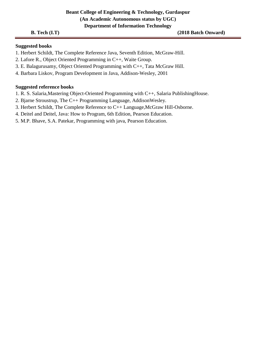### **B. Tech (I.T)** (2018 Batch Onward)

#### **Suggested books**

- 1. Herbert Schildt, The Complete Reference Java, Seventh Edition, McGraw-Hill.
- 2. Lafore R., Object Oriented Programming in C++, Waite Group.
- 3. E. Balagurusamy, Object Oriented Programming with C++, Tata McGraw Hill.
- 4. Barbara Liskov, Program Development in Java, Addison-Wesley, 2001

#### **Suggested reference books**

- 1. R. S. Salaria,Mastering Object-Oriented Programming with C++, Salaria PublishingHouse.
- 2. Bjarne Stroustrup, The C++ Programming Language, AddisonWesley.
- 3. Herbert Schildt, The Complete Reference to C++ Language,McGraw Hill-Osborne.
- 4. Deitel and Deitel, Java: How to Program, 6th Edition, Pearson Education.
- 5. M.P. Bhave, S.A. Patekar, Programming with java, Pearson Education.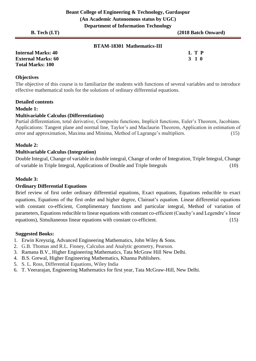| <b>BTAM-18301 Mathematics-III</b> |
|-----------------------------------|
|                                   |

| <b>Internal Marks: 40</b> | L T P |
|---------------------------|-------|
| <b>External Marks: 60</b> | 3 1 0 |
| <b>Total Marks: 100</b>   |       |

# **Objectives**

The objective of this course is to familiarize the students with functions of several variables and to introduce effective mathematical tools for the solutions of ordinary differential equations.

#### **Detailed contents**

#### **Module 1:**

#### **Multivariable Calculus (Differentiation)**

Partial differentiation, total derivative, Composite functions, Implicit functions, Euler's Theorem, Jacobians. Applications: Tangent plane and normal line, Taylor's and Maclaurin Theorem, Application in estimation of error and approximation, Maxima and Minima, Method of Lagrange's multipliers. (15)

#### **Module 2:**

#### **Multivariable Calculus (Integration)**

Double Integral, Change of variable in double integral, Change of order of Integration, Triple Integral, Change of variable in Triple Integral, Applications of Double and Triple Integrals (10)

#### **Module 3:**

#### **Ordinary Differential Equations**

Brief review of first order ordinary differential equations, Exact equations, Equations reducible to exact equations, Equations of the first order and higher degree, Clairaut's equation. Linear differential equations with constant co-efficient, Complimentary functions and particular integral, Method of variation of parameters, Equations reducible to linear equations with constant co-efficient (Cauchy's and Legendre's linear equations), Simultaneous linear equations with constant co-efficient. (15)

#### **Suggested Books:**

- 1. Erwin Kreyszig, Advanced Engineering Mathematics, John Wiley & Sons.
- 2. G.B. Thomas and R.L. Finney, Calculus and Analytic geometry, Pearson.
- 3. Ramana B.V., Higher Engineering Mathematics, Tata McGraw Hill New Delhi.
- 4. B.S. Grewal, Higher Engineering Mathematics, Khanna Publishers.
- 5. S. L. Ross, Differential Equations, Wiley India
- 6. T. Veerarajan, Engineering Mathematics for first year, Tata McGraw-Hill, New Delhi.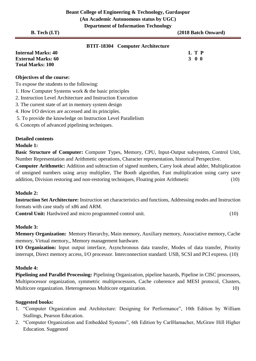| Department of fillor mation Technology                      |                     |
|-------------------------------------------------------------|---------------------|
| $B.$ Tech $(I.T)$                                           | (2018 Batch Onward) |
| <b>BTIT-18304</b> Computer Architecture                     |                     |
| <b>Internal Marks: 40</b>                                   | L T P               |
| <b>External Marks: 60</b>                                   | 300                 |
| <b>Total Marks: 100</b>                                     |                     |
| <b>Objectives of the course:</b>                            |                     |
| To expose the students to the following:                    |                     |
| 1. How Computer Systems work & the basic principles         |                     |
| 2. Instruction Level Architecture and Instruction Execution |                     |
| 3. The current state of art in memory system design         |                     |
| 4. How I/O devices are accessed and its principles.         |                     |

- 5. To provide the knowledge on Instruction Level Parallelism
- 6. Concepts of advanced pipelining techniques.

#### **Detailed contents**

#### **Module 1:**

**Basic Structure of Computer:** Computer Types, Memory, CPU, Input-Output subsystem, Control Unit, Number Representation and Arithmetic operations, Character representation, historical Perspective.

**Computer Arithmetic:** Addition and subtraction of signed numbers, Carry look ahead adder, Multiplication of unsigned numbers using array multiplier, The Booth algorithm, Fast multiplication using carry save addition, Division restoring and non-restoring techniques, Floating point Arithmetic (10)

#### **Module 2:**

**Instruction Set Architecture:** Instruction set characteristics and functions, Addressing modes and Instruction formats with case study of x86 and ARM.

**Control Unit:** Hardwired and micro programmed control unit. (10)

#### **Module 3:**

**Memory Organization:** Memory Hierarchy, Main memory, Auxiliary memory, Associative memory, Cache memory, Virtual memory,, Memory management hardware.

**I/O Organization:** Input output interface, Asynchronous data transfer, Modes of data transfer, Priority interrupt, Direct memory access, I/O processor. Interconnection standard: USB, SCSI and PCI express. (10)

#### **Module 4:**

**Pipelining and Parallel Processing:** Pipelining Organization, pipeline hazards, Pipeline in CISC processors, Multiprocessor organization, symmetric multiprocessors, Cache coherence and MESI protocol, Clusters, Multicore organization. Heterogeneous Multicore organization. 10)

#### **Suggested books:**

- 1. "Computer Organization and Architecture: Designing for Performance", 10th Edition by William Stallings, Pearson Education.
- 2. "Computer Organization and Embedded Systems", 6th Edition by CarlHamacher, McGraw Hill Higher Education. Suggested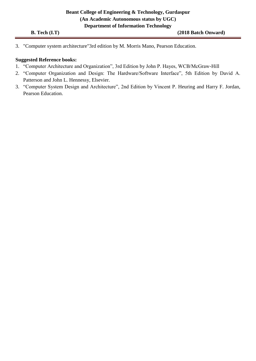3. "Computer system architecture"3rd edition by M. Morris Mano, Pearson Education.

# **Suggested Reference books:**

- 1. "Computer Architecture and Organization", 3rd Edition by John P. Hayes, WCB/McGraw-Hill
- 2. "Computer Organization and Design: The Hardware/Software Interface", 5th Edition by David A. Patterson and John L. Hennessy, Elsevier.
- 3. "Computer System Design and Architecture", 2nd Edition by Vincent P. Heuring and Harry F. Jordan, Pearson Education.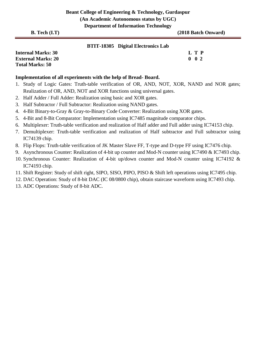| <b>Internal Marks: 30</b> | L T P |                   |  |
|---------------------------|-------|-------------------|--|
| <b>External Marks: 20</b> |       | $0\quad 0\quad 2$ |  |
| <b>Total Marks: 50</b>    |       |                   |  |

# **Implementation of all experiments with the help of Bread- Board.**

- 1. Study of Logic Gates: Truth-table verification of OR, AND, NOT, XOR, NAND and NOR gates; Realization of OR, AND, NOT and XOR functions using universal gates.
- 2. Half Adder / Full Adder: Realization using basic and XOR gates.
- 3. Half Subtractor / Full Subtractor: Realization using NAND gates.
- 4. 4-Bit Binary-to-Gray & Gray-to-Binary Code Converter: Realization using XOR gates.
- 5. 4-Bit and 8-Bit Comparator: Implementation using IC7485 magnitude comparator chips.
- 6. Multiplexer: Truth-table verification and realization of Half adder and Full adder using IC74153 chip.
- 7. Demultiplexer: Truth-table verification and realization of Half subtractor and Full subtractor using IC74139 chip.
- 8. Flip Flops: Truth-table verification of JK Master Slave FF, T-type and D-type FF using IC7476 chip.
- 9. Asynchronous Counter: Realization of 4-bit up counter and Mod-N counter using IC7490 & IC7493 chip.
- 10. Synchronous Counter: Realization of 4-bit up/down counter and Mod-N counter using IC74192 & IC74193 chip.
- 11. Shift Register: Study of shift right, SIPO, SISO, PIPO, PISO & Shift left operations using IC7495 chip.
- 12. DAC Operation: Study of 8-bit DAC (IC 08/0800 chip), obtain staircase waveform using IC7493 chip.
- 13. ADC Operations: Study of 8-bit ADC.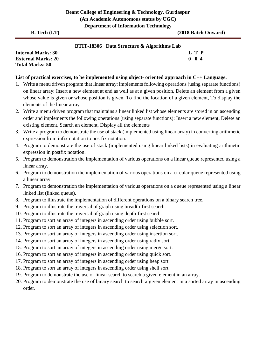#### **BTIT-18306 Data Structure & Algorithms Lab**

**Internal Marks: 30 L T P External Marks: 20 0 0 4 Total Marks: 50** 

#### **List of practical exercises, to be implemented using object- oriented approach in C++ Language.**

- 1. Write a menu driven program that linear array: implements following operations (using separate functions) on linear array: Insert a new element at end as well as at a given position, Delete an element from a given whose value is given or whose position is given, To find the location of a given element, To display the elements of the linear array.
- 2. Write a menu driven program that maintains a linear linked list whose elements are stored in on ascending order and implements the following operations (using separate functions): Insert a new element, Delete an existing element, Search an element, Display all the elements
- 3. Write a program to demonstrate the use of stack (implemented using linear array) in converting arithmetic expression from infix notation to postfix notation.
- 4. Program to demonstrate the use of stack (implemented using linear linked lists) in evaluating arithmetic expression in postfix notation.
- 5. Program to demonstration the implementation of various operations on a linear queue represented using a linear array.
- 6. Program to demonstration the implementation of various operations on a circular queue represented using a linear array.
- 7. Program to demonstration the implementation of various operations on a queue represented using a linear linked list (linked queue).
- 8. Program to illustrate the implementation of different operations on a binary search tree.
- 9. Program to illustrate the traversal of graph using breadth-first search.
- 10. Program to illustrate the traversal of graph using depth-first search.
- 11. Program to sort an array of integers in ascending order using bubble sort.
- 12. Program to sort an array of integers in ascending order using selection sort.
- 13. Program to sort an array of integers in ascending order using insertion sort.
- 14. Program to sort an array of integers in ascending order using radix sort.
- 15. Program to sort an array of integers in ascending order using merge sort.
- 16. Program to sort an array of integers in ascending order using quick sort.
- 17. Program to sort an array of integers in ascending order using heap sort.
- 18. Program to sort an array of integers in ascending order using shell sort.
- 19. Program to demonstrate the use of linear search to search a given element in an array.
- 20. Program to demonstrate the use of binary search to search a given element in a sorted array in ascending order.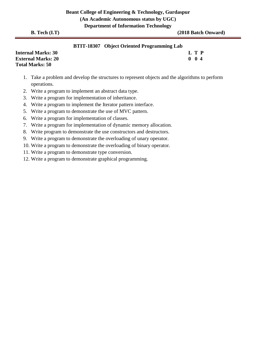#### **BTIT-18307 Object Oriented Programming Lab**

| <b>Internal Marks: 30</b> |  | L T P    |
|---------------------------|--|----------|
| <b>External Marks: 20</b> |  | $0 \t04$ |
| <b>Total Marks: 50</b>    |  |          |

- 1. Take a problem and develop the structures to represent objects and the algorithms to perform operations.
- 2. Write a program to implement an abstract data type.
- 3. Write a program for implementation of inheritance.
- 4. Write a program to implement the Iterator pattern interface.
- 5. Write a program to demonstrate the use of MVC pattern.
- 6. Write a program for implementation of classes.
- 7. Write a program for implementation of dynamic memory allocation.
- 8. Write program to demonstrate the use constructors and destructors.
- 9. Write a program to demonstrate the overloading of unary operator.
- 10. Write a program to demonstrate the overloading of binary operator.
- 11. Write a program to demonstrate type conversion.
- 12. Write a program to demonstrate graphical programming.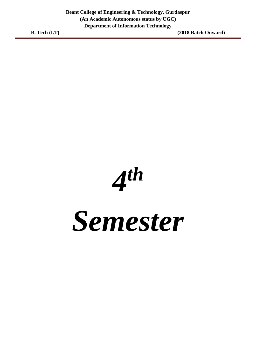*4 th*

*Semester*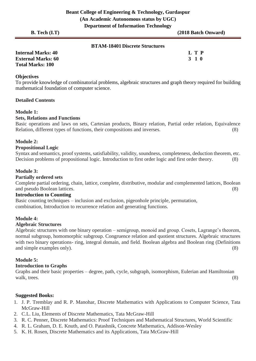| $B.$ Tech $(I.T)$ | .                                     | (2018 Batch Onward) |
|-------------------|---------------------------------------|---------------------|
|                   | <b>BTAM-18401 Discrete Structures</b> |                     |

| <b>Internal Marks: 40</b> | L T P |
|---------------------------|-------|
| <b>External Marks: 60</b> | 3 1 0 |
| <b>Total Marks: 100</b>   |       |

#### **Objectives**

To provide knowledge of combinatorial problems, algebraic structures and graph theory required for building mathematical foundation of computer science.

#### **Detailed Contents**

#### **Module 1:**

#### **Sets, Relations and Functions**

Basic operations and laws on sets, Cartesian products, Binary relation, Partial order relation, Equivalence Relation, different types of functions, their compositions and inverses. (8)

#### **Module 2:**

#### **Propositional Logic**

Syntax and semantics, proof systems, satisfiability, validity, soundness, completeness, deduction theorem, etc. Decision problems of propositional logic. Introduction to first order logic and first order theory. (8)

#### **Module 3:**

#### **Partially ordered sets**

Complete partial ordering, chain, lattice, complete, distributive, modular and complemented lattices, Boolean and pseudo Boolean lattices. (8)

# **Introduction to Counting**

Basic counting techniques – inclusion and exclusion, pigeonhole principle, permutation, combination, Introduction to recurrence relation and generating functions.

#### **Module 4:**

#### **Algebraic Structures**

Algebraic structures with one binary operation – semigroup, monoid and group. Cosets, Lagrange's theorem, normal subgroup, homomorphic subgroup. Congruence relation and quotient structures. Algebraic structures with two binary operations- ring, integral domain, and field. Boolean algebra and Boolean ring (Definitions and simple examples only). (8)

#### **Module 5:**

#### **Introduction to Graphs**

Graphs and their basic properties – degree, path, cycle, subgraph, isomorphism, Eulerian and Hamiltonian walk, trees. (8)

#### **Suggested Books:**

- 1. J. P. Tremblay and R. P. Manohar, Discrete Mathematics with Applications to Computer Science, Tata McGraw-Hill
- 2. C.L. Liu, Elements of Discrete Mathematics, Tata McGraw-Hill
- 3. R. C. Penner, Discrete Mathematics: Proof Techniques and Mathematical Structures, World Scientific
- 4. R. L. Graham, D. E. Knuth, and O. Patashnik, Concrete Mathematics, Addison-Wesley
- 5. K. H. Rosen, Discrete Mathematics and its Applications, Tata McGraw-Hill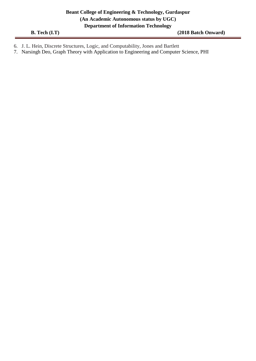- 6. J. L. Hein, Discrete Structures, Logic, and Computability, Jones and Bartlett
- 7. Narsingh Deo, Graph Theory with Application to Engineering and Computer Science, PHI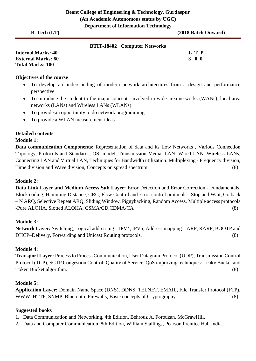| <b>B.</b> Tech $(I.T)$    | $\sim$ , $\sim$ , $\sim$ , $\sim$ , $\sim$ , $\sim$ , $\sim$ , $\sim$ , $\sim$ , $\sim$ , $\sim$ , $\sim$ , $\sim$ | (2018 Batch Onward) |
|---------------------------|--------------------------------------------------------------------------------------------------------------------|---------------------|
|                           | <b>BTIT-18402 Computer Networks</b>                                                                                |                     |
| <b>Internal Marks: 40</b> |                                                                                                                    | L T P               |

**External Marks: 60 3 0 0** 3 0 0 3 0 0 3 0 0 3 0 0 3 0 0 3 0 4  $\sigma$  3 0 0 3 0 0 3 0 0 3 0 0 3 0 4  $\sigma$  3 0 0 3 0 0 3 0  $\sigma$ **Total Marks: 100** 

#### **Objectives of the course**

- To develop an understanding of modern network architectures from a design and performance perspective.
- To introduce the student to the major concepts involved in wide-area networks (WANs), local area networks (LANs) and Wireless LANs (WLANs).
- To provide an opportunity to do network programming
- To provide a WLAN measurement ideas.

# **Detailed contents**

### **Module 1:**

**Data communication Components:** Representation of data and its flow Networks , Various Connection Topology, Protocols and Standards, OSI model, Transmission Media, LAN: Wired LAN, Wireless LANs, Connecting LAN and Virtual LAN, Techniques for Bandwidth utilization: Multiplexing - Frequency division, Time division and Wave division, Concepts on spread spectrum. (8) (8)

# **Module 2:**

**Data Link Layer and Medium Access Sub Layer:** Error Detection and Error Correction - Fundamentals, Block coding, Hamming Distance, CRC; Flow Control and Error control protocols - Stop and Wait, Go back – N ARQ, Selective Repeat ARQ, Sliding Window, Piggybacking, Random Access, Multiple access protocols -Pure ALOHA, Slotted ALOHA, CSMA/CD,CDMA/CA (8)

# **Module 3:**

**Network Layer:** Switching, Logical addressing – IPV4, IPV6; Address mapping – ARP, RARP, BOOTP and DHCP–Delivery, Forwarding and Unicast Routing protocols. (8)

# **Module 4:**

**Transport Layer:** Process to Process Communication, User Datagram Protocol (UDP), Transmission Control Protocol (TCP), SCTP Congestion Control; Quality of Service, QoS improving techniques: Leaky Bucket and Token Bucket algorithm. (8)

# **Module 5:**

**Application Layer:** Domain Name Space (DNS), DDNS, TELNET, EMAIL, File Transfer Protocol (FTP), WWW, HTTP, SNMP, Bluetooth, Firewalls, Basic concepts of Cryptography (8)

### **Suggested books**

- 1. Data Communication and Networking, 4th Edition, Behrouz A. Forouzan, McGrawHill.
- 2. Data and Computer Communication, 8th Edition, William Stallings, Pearson Prentice Hall India.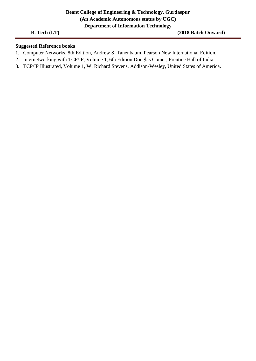## **Suggested Reference books**

- 1. Computer Networks, 8th Edition, Andrew S. Tanenbaum, Pearson New International Edition.
- 2. Internetworking with TCP/IP, Volume 1, 6th Edition Douglas Comer, Prentice Hall of India.
- 3. TCP/IP Illustrated, Volume 1, W. Richard Stevens, Addison-Wesley, United States of America.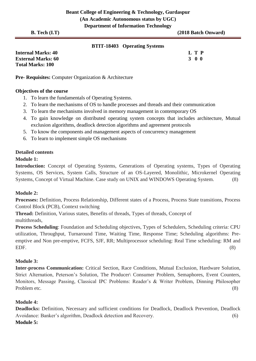#### **BTIT-18403 Operating Systems**

| <b>Internal Marks: 40</b> | L T P |
|---------------------------|-------|
| <b>External Marks: 60</b> | 3 O O |
| <b>Total Marks: 100</b>   |       |

**Pre- Requisites:** Computer Organization & Architecture

### **Objectives of the course**

- 1. To learn the fundamentals of Operating Systems.
- 2. To learn the mechanisms of OS to handle processes and threads and their communication
- 3. To learn the mechanisms involved in memory management in contemporary OS
- 4. To gain knowledge on distributed operating system concepts that includes architecture, Mutual exclusion algorithms, deadlock detection algorithms and agreement protocols
- 5. To know the components and management aspects of concurrency management
- 6. To learn to implement simple OS mechanisms

# **Detailed contents**

# **Module 1:**

**Introduction:** Concept of Operating Systems, Generations of Operating systems, Types of Operating Systems, OS Services, System Calls, Structure of an OS-Layered, Monolithic, Microkernel Operating Systems, Concept of Virtual Machine. Case study on UNIX and WINDOWS Operating System. (8)

# **Module 2:**

**Processes:** Definition, Process Relationship, Different states of a Process, Process State transitions, Process Control Block (PCB), Context switching

**Thread:** Definition, Various states, Benefits of threads, Types of threads, Concept of multithreads,

**Process Scheduling**: Foundation and Scheduling objectives, Types of Schedulers, Scheduling criteria: CPU utilization, Throughput, Turnaround Time, Waiting Time, Response Time; Scheduling algorithms: Preemptive and Non pre-emptive, FCFS, SJF, RR; Multiprocessor scheduling: Real Time scheduling: RM and EDF. (8)

### **Module 3:**

**Inter-process Communication:** Critical Section, Race Conditions, Mutual Exclusion, Hardware Solution, Strict Alternation, Peterson's Solution, The Producer\ Consumer Problem, Semaphores, Event Counters, Monitors, Message Passing, Classical IPC Problems: Reader's & Writer Problem, Dinning Philosopher Problem etc. (8)

# **Module 4:**

**Deadlocks:** Definition, Necessary and sufficient conditions for Deadlock, Deadlock Prevention, Deadlock Avoidance: Banker's algorithm, Deadlock detection and Recovery. (6) **Module 5:**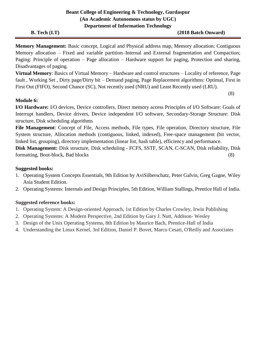**B. Tech (I.T)** (2018 Batch Onward)

(8)

**Memory Management:** Basic concept, Logical and Physical address map, Memory allocation: Contiguous Memory allocation – Fixed and variable partition–Internal and External fragmentation and Compaction; Paging: Principle of operation – Page allocation – Hardware support for paging, Protection and sharing, Disadvantages of paging.

**Virtual Memory**: Basics of Virtual Memory – Hardware and control structures – Locality of reference, Page fault , Working Set , Dirty page/Dirty bit – Demand paging, Page Replacement algorithms: Optimal, First in First Out (FIFO), Second Chance (SC), Not recently used (NRU) and Least Recently used (LRU).

# **Module 6:**

**I/O Hardware:** I/O devices, Device controllers, Direct memory access Principles of I/O Software: Goals of Interrupt handlers, Device drivers, Device independent I/O software, Secondary-Storage Structure: Disk structure, Disk scheduling algorithms

**File Management**: Concept of File, Access methods, File types, File operation, Directory structure, File System structure, Allocation methods (contiguous, linked, indexed), Free-space management (bit vector, linked list, grouping), directory implementation (linear list, hash table), efficiency and performance.

**Disk Management:** Disk structure, Disk scheduling - FCFS, SSTF, SCAN, C-SCAN, Disk reliability, Disk formatting, Boot-block, Bad blocks (8)

# **Suggested books:**

- 1. Operating System Concepts Essentials, 9th Edition by AviSilberschatz, Peter Galvin, Greg Gagne, Wiley Asia Student Edition.
- 2. Operating Systems: Internals and Design Principles, 5th Edition, William Stallings, Prentice Hall of India.

# **Suggested reference books:**

- 1. Operating System: A Design-oriented Approach, 1st Edition by Charles Crowley, Irwin Publishing
- 2. Operating Systems: A Modern Perspective, 2nd Edition by Gary J. Nutt, Addison- Wesley
- 3. Design of the Unix Operating Systems, 8th Edition by Maurice Bach, Prentice-Hall of India
- 4. Understanding the Linux Kernel, 3rd Edition, Daniel P. Bovet, Marco Cesati, O'Reilly and Associates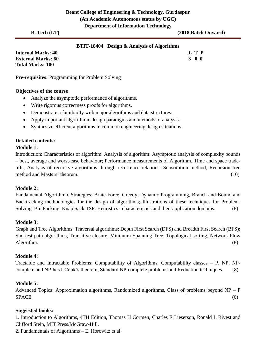# **BTIT-18404 Design & Analysis of Algorithms**

| <b>Internal Marks: 40</b> | L T P |
|---------------------------|-------|
| <b>External Marks: 60</b> | 3 O O |
| <b>Total Marks: 100</b>   |       |

**Pre-requisites:** Programming for Problem Solving

#### **Objectives of the course**

- Analyze the asymptotic performance of algorithms.
- Write rigorous correctness proofs for algorithms.
- Demonstrate a familiarity with major algorithms and data structures.
- Apply important algorithmic design paradigms and methods of analysis.
- Synthesize efficient algorithms in common engineering design situations.

#### **Detailed contents:**

#### **Module 1:**

Introduction: Characteristics of algorithm. Analysis of algorithm: Asymptotic analysis of complexity bounds – best, average and worst-case behaviour; Performance measurements of Algorithm, Time and space tradeoffs, Analysis of recursive algorithms through recurrence relations: Substitution method, Recursion tree method and Masters' theorem. (10)

#### **Module 2:**

Fundamental Algorithmic Strategies: Brute-Force, Greedy, Dynamic Programming, Branch and-Bound and Backtracking methodologies for the design of algorithms; Illustrations of these techniques for Problem-Solving, Bin Packing, Knap Sack TSP. Heuristics –characteristics and their application domains. (8)

#### **Module 3:**

Graph and Tree Algorithms: Traversal algorithms: Depth First Search (DFS) and Breadth First Search (BFS); Shortest path algorithms, Transitive closure, Minimum Spanning Tree, Topological sorting, Network Flow Algorithm. (8)

#### **Module 4:**

Tractable and Intractable Problems: Computability of Algorithms, Computability classes – P, NP, NPcomplete and NP-hard. Cook's theorem, Standard NP-complete problems and Reduction techniques. (8)

#### **Module 5:**

Advanced Topics: Approximation algorithms, Randomized algorithms, Class of problems beyond NP – P SPACE (6)

#### **Suggested books:**

1. Introduction to Algorithms, 4TH Edition, Thomas H Cormen, Charles E Lieserson, Ronald L Rivest and Clifford Stein, MIT Press/McGraw-Hill.

2. Fundamentals of Algorithms – E. Horowitz et al.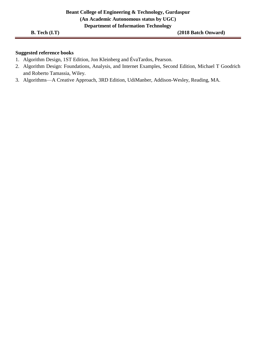### **Suggested reference books**

- 1. Algorithm Design, 1ST Edition, Jon Kleinberg and ÉvaTardos, Pearson.
- 2. Algorithm Design: Foundations, Analysis, and Internet Examples, Second Edition, Michael T Goodrich and Roberto Tamassia, Wiley.
- 3. Algorithms—A Creative Approach, 3RD Edition, UdiManber, Addison-Wesley, Reading, MA.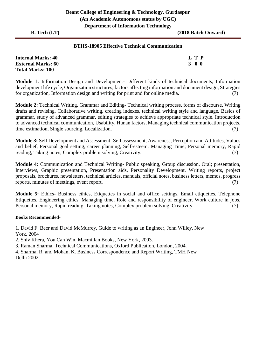### **BTHS-18905 Effective Technical Communication**

| <b>Internal Marks: 40</b> | L T P |
|---------------------------|-------|
| <b>External Marks: 60</b> | 3 O O |
| <b>Total Marks: 100</b>   |       |

**Module 1:** Information Design and Development- Different kinds of technical documents, Information development life cycle, Organization structures, factors affecting information and document design, Strategies for organization, Information design and writing for print and for online media. (7)

**Module 2:** Technical Writing, Grammar and Editing- Technical writing process, forms of discourse, Writing drafts and revising, Collaborative writing, creating indexes, technical writing style and language. Basics of grammar, study of advanced grammar, editing strategies to achieve appropriate technical style. Introduction to advanced technical communication, Usability, Hunan factors, Managing technical communication projects, time estimation, Single sourcing, Localization. (7)

**Module 3:** Self Development and Assessment- Self assessment, Awareness, Perception and Attitudes, Values and belief, Personal goal setting, career planning, Self-esteem. Managing Time; Personal memory, Rapid reading, Taking notes; Complex problem solving; Creativity. (7)

**Module 4:** Communication and Technical Writing- Public speaking, Group discussion, Oral; presentation, Interviews, Graphic presentation, Presentation aids, Personality Development. Writing reports, project proposals, brochures, newsletters, technical articles, manuals, official notes, business letters, memos, progress reports, minutes of meetings, event report. (7)

**Module 5:** Ethics- Business ethics, Etiquettes in social and office settings, Email etiquettes, Telephone Etiquettes, Engineering ethics, Managing time, Role and responsibility of engineer, Work culture in jobs, Personal memory, Rapid reading, Taking notes, Complex problem solving, Creativity. (7)

#### **Books Recommended**-

1. David F. Beer and David McMurrey, Guide to writing as an Engineer, John Willey. New York, 2004

2. Shiv Khera, You Can Win, Macmillan Books, New York, 2003.

3. Raman Sharma, Technical Communications, Oxford Publication, London, 2004.

4. Sharma, R. and Mohan, K. Business Correspondence and Report Writing, TMH New Delhi 2002.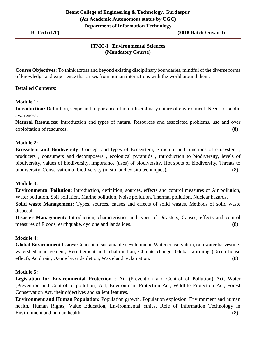# **ITMC-I Environmental Sciences (Mandatory Course)**

**Course Objectives:** To think across and beyond existing disciplinary boundaries, mindful of the diverse forms of knowledge and experience that arises from human interactions with the world around them.

# **Detailed Contents:**

# **Module 1:**

**Introduction:** Definition, scope and importance of multidisciplinary nature of environment. Need for public awareness.

**Natural Resources**: Introduction and types of natural Resources and associated problems, use and over exploitation of resources. **(8)**

# **Module 2:**

**Ecosystem and Biodiversity**: Concept and types of Ecosystem, Structure and functions of ecosystem , producers , consumers and decomposers , ecological pyramids , Introduction to biodiversity, levels of biodiversity, values of biodiversity, importance (uses) of biodiversity, Hot spots of biodiversity, Threats to biodiversity, Conservation of biodiversity (in situ and ex situ techniques). (8)

# **Module 3:**

**Environmental Pollution**: Introduction, definition, sources, effects and control measures of Air pollution, Water pollution, Soil pollution, Marine pollution, Noise pollution, Thermal pollution. Nuclear hazards.

**Solid waste Management:** Types, sources, causes and effects of solid wastes, Methods of solid waste disposal.

**Disaster Management:** Introduction, characteristics and types of Disasters, Causes, effects and control measures of Floods, earthquake, cyclone and landslides. (8)

### **Module 4:**

**Global Environment Issues**: Concept of sustainable development, Water conservation, rain water harvesting, watershed management, Resettlement and rehabilitation, Climate change, Global warming (Green house effect), Acid rain, Ozone layer depletion, Wasteland reclamation. (8)

### **Module 5:**

**Legislation for Environmental Protection** : Air (Prevention and Control of Pollution) Act, Water (Prevention and Control of pollution) Act, Environment Protection Act, Wildlife Protection Act, Forest Conservation Act, their objectives and salient features.

**Environment and Human Population:** Population growth, Population explosion, Environment and human health, Human Rights, Value Education, Environmental ethics, Role of Information Technology in Environment and human health. (8)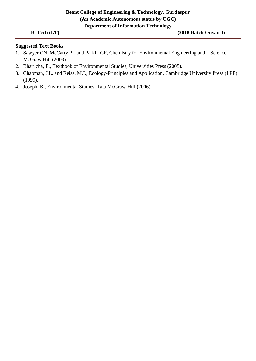**B. Tech (I.T) (2018 Batch Onward)**

# **Suggested Text Books**

- 1. Sawyer CN, McCarty PL and Parkin GF, Chemistry for Environmental Engineering and Science, McGraw Hill (2003)
- 2. Bharucha, E., Textbook of Environmental Studies, Universities Press (2005).
- 3. Chapman, J.L. and Reiss, M.J., Ecology-Principles and Application, Cambridge University Press (LPE) (1999).
- 4. Joseph, B., Environmental Studies, Tata McGraw-Hill (2006).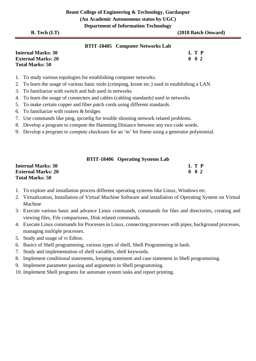|  | <b>B.</b> Tech (I.T) |  |
|--|----------------------|--|
|--|----------------------|--|

(2018 Batch Onward)

|  | <b>BTIT-18405</b> Computer Networks Lab |
|--|-----------------------------------------|
|--|-----------------------------------------|

| <b>Internal Marks: 30</b> | L T P             |  |
|---------------------------|-------------------|--|
| <b>External Marks: 20</b> | $0\quad 0\quad 2$ |  |
| <b>Total Marks: 50</b>    |                   |  |

- 1. To study various topologies for establishing computer networks.
- 2. To learn the usage of various basic tools (crimping, krone etc.) used in establishing a LAN.
- 3. To familiarize with switch and hub used in networks
- 4. To learn the usage of connecters and cables (cabling standards) used in networks
- 5. To make certain copper and fiber patch cords using different standards.
- 6. To familiarize with routers & bridges
- 7. Use commands like ping, ipconfig for trouble shooting network related problems.
- 8. Develop a program to compute the Hamming Distance between any two code words.
- 9. Develop a program to compute checksum for an 'm' bit frame using a generator polynomial.

|  | <b>BTIT-18406</b> Operating Systems Lab |
|--|-----------------------------------------|
|--|-----------------------------------------|

| <b>Internal Marks: 30</b> | L T P         |
|---------------------------|---------------|
| <b>External Marks: 20</b> | $0 \t 0 \t 2$ |
| <b>Total Marks: 50</b>    |               |

- 1. To explore and installation process different operating systems like Linux, Windows etc.
- 2. Virtualization, Installation of Virtual Machine Software and installation of Operating System on Virtual Machine
- 3. Execute various basic and advance Linux commands, commands for files and directories, creating and viewing files, File comparisons, Disk related commands.
- 4. Execute Linux commands for Processes in Linux, connecting processes with pipes, background processes, managing multiple processes.
- 5. Study and usage of vi Editor.
- 6. Basics of Shell programming, various types of shell, Shell Programming in bash.
- 7. Study and implementation of shell variables, shell keywords.
- 8. Implement conditional statements, looping statement and case statement in Shell programming.
- 9. Implement parameter passing and arguments in Shell programming.
- 10. Implement Shell programs for automate system tasks and report printing.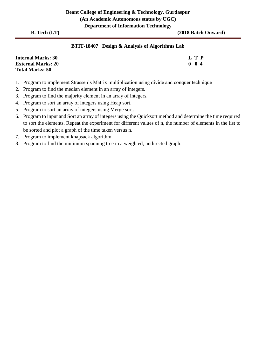# **BTIT-18407 Design & Analysis of Algorithms Lab**

| <b>Internal Marks: 30</b> | L T P       |
|---------------------------|-------------|
| <b>External Marks: 20</b> | $0 \t0 \t4$ |
| <b>Total Marks: 50</b>    |             |

- 1. Program to implement Strassen's Matrix multiplication using divide and conquer technique
- 2. Program to find the median element in an array of integers.
- 3. Program to find the majority element in an array of integers.
- 4. Program to sort an array of integers using Heap sort.
- 5. Program to sort an array of integers using Merge sort.
- 6. Program to input and Sort an array of integers using the Quicksort method and determine the time required to sort the elements. Repeat the experiment for different values of n, the number of elements in the list to be sorted and plot a graph of the time taken versus n.
- 7. Program to implement knapsack algorithm.
- 8. Program to find the minimum spanning tree in a weighted, undirected graph.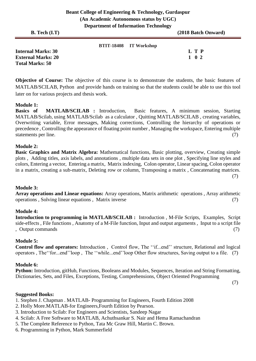| <b>B.</b> Tech $(I.T)$                                                           |                        | ິ<br>(2018 Batch Onward) |
|----------------------------------------------------------------------------------|------------------------|--------------------------|
| <b>Internal Marks: 30</b><br><b>External Marks: 20</b><br><b>Total Marks: 50</b> | BTIT-18408 IT Workshop | L T P<br>1 0 2           |

**Objective of Course:** The objective of this course is to demonstrate the students, the basic features of MATLAB/SCILAB, Python and provide hands on training so that the students could be able to use this tool later on for various projects and thesis work.

#### **Module 1:**

**Basics of MATLAB/SCILAB :** Introduction, Basic features, A minimum session, Starting MATLAB/Scilab, using MATLAB/Scilab as a calculator , Quitting MATLAB/SCILAB , creating variables, Overwriting variable, Error messages, Making corrections, Controlling the hierarchy of operations or precedence , Controlling the appearance of floating point number , Managing the workspace, Entering multiple statements per line. (7)

#### **Module 2:**

**Basic Graphics and Matrix Algebra:** Mathematical functions, Basic plotting, overview, Creating simple plots , Adding titles, axis labels, and annotations , multiple data sets in one plot , Specifying line styles and colors, Entering a vector, Entering a matrix, Matrix indexing, Colon operator, Linear spacing, Colon operator in a matrix, creating a sub-matrix, Deleting row or column, Transposing a matrix , Concatenating matrices. (7)

### **Module 3:**

**Array operations and Linear equations:** Array operations, Matrix arithmetic operations , Array arithmetic operations , Solving linear equations , Matrix inverse (7)

#### **Module 4:**

**Introduction to programming in MATLAB/SCILAB :** Introduction , M-File Scripts, Examples, Script side-effects , File functions , Anatomy of a M-File function, Input and output arguments , Input to a script file , Output commands (7)

#### **Module 5:**

**Control flow and operators:** Introduction , Control flow, The ''if...end'' structure, Relational and logical operators , The''for...end''loop , The ''while...end''loop Other flow structures, Saving output to a file. (7)

#### **Module 6:**

**Python:** Introduction, gitHub, Functions, Booleans and Modules, Sequences, Iteration and String Formatting, Dictionaries, Sets, and Files, Exceptions, Testing, Comprehensions, Object Oriented Programming

(7)

### **Suggested Books:**

- 1. Stephen J. Chapman . MATLAB- Programming for Engineers, Fourth Edition 2008
- 2. Holly More.MATLAB-for Engineers,Fourth Edition by Pearson.
- 3. Introduction to Scilab: For Engineers and Scientists, Sandeep Nagar
- 4. Scilab: A Free Software to MATLAB, Achuthsankar S. Nair and Hema Ramachandran
- 5. The Complete Reference to Python, Tata Mc Graw Hill, Martin C. Brown.
- 6. Programming in Python, Mark Summerfield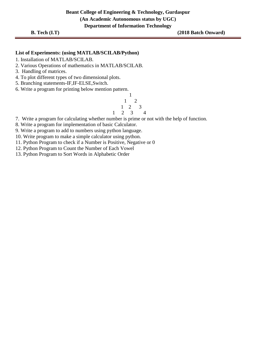#### **List of Experiments: (using MATLAB/SCILAB/Python)**

- 1. Installation of MATLAB/SCILAB.
- 2. Various Operations of mathematics in MATLAB/SCILAB.
- 3. Handling of matrices.
- 4. To plot different types of two dimensional plots.
- 5. Branching statements-IF,IF-ELSE,Switch.
- 6. Write a program for printing below mention pattern.



7. Write a program for calculating whether number is prime or not with the help of function.

8. Write a program for implementation of basic Calculator.

9. Write a program to add to numbers using python language.

- 10. Write program to make a simple calculator using python.
- 11. Python Program to check if a Number is Positive, Negative or 0
- 12. Python Program to Count the Number of Each Vowel
- 13. Python Program to Sort Words in Alphabetic Order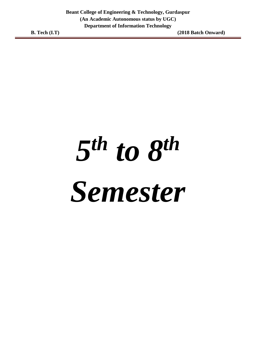# *5 th to 8th Semester*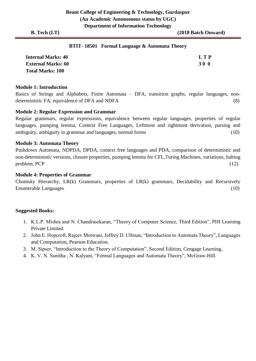#### **BTIT- 18501 Formal Language & Automata Theory**

| <b>Internal Marks: 40</b> | <b>LTP</b> |
|---------------------------|------------|
| <b>External Marks: 60</b> | 30 O       |
| <b>Total Marks: 100</b>   |            |

#### **Module 1: Introduction**

Basics of Strings and Alphabets, Finite Automata – DFA, transition graphs, regular languages, nondeterministic FA, equivalence of DFA and NDFA (8)

#### **Module 2: Regular Expression and Grammar**

Regular grammars, regular expressions, equivalence between regular languages, properties of regular languages, pumping lemma, Context Free Languages, Leftmost and rightmost derivation, parsing and ambiguity, ambiguity in grammar and languages, normal forms (10)

#### **Module 3: Automata Theory**

Pushdown Automata, NDPDA, DPDA, context free languages and PDA, comparison of deterministic and non-deterministic versions, closure properties, pumping lemma for CFL,Turing Machines, variations, halting  $problem, PCP$  (12)

#### **Module 4: Properties of Grammar**

Chomsky Hierarchy, LR(k) Grammars, properties of LR(k) grammars, Decidability and Recursively Enumerable Languages (10)

- 1. K.L.P. Mishra and N. Chandrasekaran, "Theory of Computer Science, Third Edition", PHI Learning Private Limited.
- 2. John E. Hopcroft, Rajeev Motwani, Jeffrey D. Ullman, "Introduction to Automata Theory", Languages and Computation, Pearson Education.
- 3. M. Sipser, "Introduction to the Theory of Computation", Second Edition, Cengage Learning.
- 4. K. V. N. Sunitha , N. Kalyani, "Formal Languages and Automata Theory", McGraw-Hill.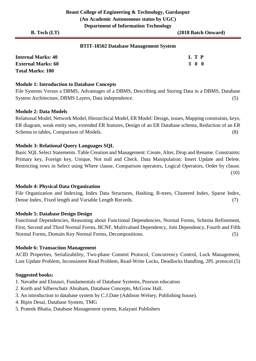#### **BTIT-18502 Database Management System**

| <b>Internal Marks: 40</b> | L T P |  |
|---------------------------|-------|--|
| <b>External Marks: 60</b> | 300   |  |
| <b>Total Marks: 100</b>   |       |  |

#### **Module 1: Introduction to Database Concepts**

File Systems Versus a DBMS, Advantages of a DBMS, Describing and Storing Data in a DBMS, Database System Architecture, DBMS Layers, Data independence. (5)

#### **Module 2: Data Models**

Relational Model, Network Model, Hierarchical Model, ER Model: Design, issues, Mapping constraints, keys, ER diagram, weak entity sets, extended ER features, Design of an ER Database schema, Reduction of an ER Schema to tables, Comparison of Models. (8)

#### **Module 3: Relational Query Languages SQL**

Basic SQL Select Statements. Table Creation and Management: Create, Alter, Drop and Rename. Constraints: Primary key, Foreign key, Unique, Not null and Check. Data Manipulation: Insert Update and Delete. Restricting rows in Select using Where clause, Comparison operators, Logical Operators, Order by clause. (10)

#### **Module 4: Physical Data Organization**

File Organization and Indexing, Index Data Structures, Hashing, B-trees, Clustered Index, Sparse Index, Dense Index, Fixed length and Variable Length Records. (7)

#### **Module 5: Database Design Design**

Functional Dependencies, Reasoning about Functional Dependencies, Normal Forms, Schema Refinement, First, Second and Third Normal Forms, BCNF, Multivalued Dependency, Join Dependency, Fourth and Fifth Normal Forms, Domain Key Normal Forms, Decompositions. (5)

#### **Module 6: Transaction Management**

ACID Properties, Serializability, Two-phase Commit Protocol, Concurrency Control, Lock Management, Lost Update Problem, Inconsistent Read Problem, Read-Write Locks, Deadlocks Handling, 2PL protocol.(5)

- 1. Navathe and Elmasri, Fundamentals of Database Systems, Pearson education
- 2. Korth and Silberschatz Abraham, Database Concepts, McGraw Hall.
- 3. An introduction to database system by C.J.Date (Addison Welsey, Publishing house).
- 4. Bipin Desai, Database System, TMG
- 5. Prateek Bhatia, Database Management system, Kalayani Publishers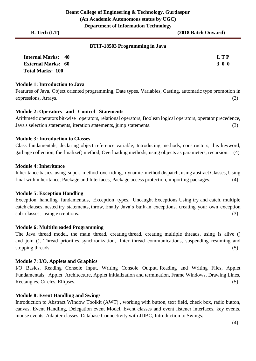#### **BTIT-18503 Programming in Java**

| <b>Internal Marks: 40</b> | L T P |
|---------------------------|-------|
| <b>External Marks: 60</b> | 300   |
| <b>Total Marks: 100</b>   |       |

#### **Module 1: Introduction to Java**

Features of Java, Object oriented programming, Date types, Variables, Casting, automatic type promotion in expressions, Arrays. (3)

#### **Module 2: Operators and Control Statements**

Arithmetic operators bit-wise operators, relational operators, Boolean logical operators, operator precedence, Java's selection statements, iteration statements, jump statements. (3)

#### **Module 3: Introduction to Classes**

Class fundamentals, declaring object reference variable, Introducing methods, constructors, this keyword, garbage collection, the finalize() method, Overloading methods, using objects as parameters, recursion. (4)

#### **Module 4: Inheritance**

Inheritance basics, using super, method overriding, dynamic method dispatch, using abstract Classes, Using final with inheritance, Package and Interfaces, Package access protection, importing packages. (4)

#### **Module 5: Exception Handling**

Exception handling fundamentals, Exception types, Uncaught Exceptions Using try and catch, multiple catch clauses, nested try statements, throw, finally Java's built-in exceptions, creating your own exception sub classes, using exceptions. (3)

#### **Module 6: Multithreaded Programming**

The Java thread model, the main thread, creating thread, creating multiple threads, using is alive () and join (), Thread priorities, synchronization, Inter thread communications, suspending resuming and stopping threads.  $(5)$ 

#### **Module 7: I/O, Applets and Graphics**

I/O Basics, Reading Console Input, Writing Console Output, Reading and Writing Files, Applet Fundamentals, Applet Architecture, Applet initialization and termination, Frame Windows, Drawing Lines, Rectangles, Circles, Ellipses. (5)

#### **Module 8: Event Handling and Swings**

Introduction to Abstract Window Toolkit (AWT) , working with button, text field, check box, radio button, canvas, Event Handling, Delegation event Model, Event classes and event listener interfaces, key events, mouse events, Adapter classes, Database Connectivity with JDBC, Introduction to Swings.

(4)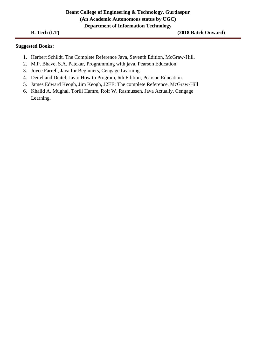- 1. Herbert Schildt, The Complete Reference Java, Seventh Edition, McGraw-Hill.
- 2. M.P. Bhave, S.A. Patekar, Programming with java, Pearson Education.
- 3. Joyce Farrell, Java for Beginners, Cengage Learning.
- 4. Deitel and Deitel, Java: How to Program, 6th Edition, Pearson Education.
- 5. James Edward Keogh, Jim Keogh, J2EE: The complete Reference, McGraw-Hill
- 6. Khalid A. Mughal, Torill Hamre, Rolf W. Rasmussen, Java Actually, Cengage Learning.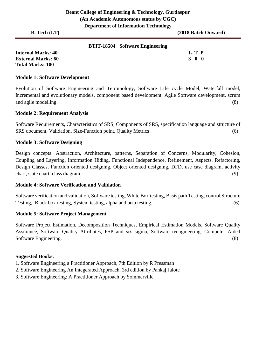| <b>B.</b> Tech $(I.T)$    |                                        | (2018 Batch Onward)                      |
|---------------------------|----------------------------------------|------------------------------------------|
|                           | <b>BTIT-18504</b> Software Engineering |                                          |
| <b>Internal Marks: 40</b> |                                        | L T P                                    |
| <b>External Marks: 60</b> |                                        | $\begin{matrix} 0 & 0 \end{matrix}$<br>3 |

#### **Module 1: Software Development**

**Total Marks: 100** 

Evolution of Software Engineering and Terminology, Software Life cycle Model, Waterfall model, Incremental and evolutionary models, component based development, Agile Software development, scrum and agile modelling. (8)

#### **Module 2: Requirement Analysis**

Software Requirements, Characteristics of SRS, Components of SRS, specification language and structure of SRS document, Validation, Size-Function point, Quality Metrics (6)

#### **Module 3: Software Designing**

Design concepts: Abstraction, Architecture, patterns, Separation of Concerns, Modularity, Cohesion, Coupling and Layering, Information Hiding, Functional Independence, Refinement, Aspects, Refactoring, Design Classes, Function oriented designing, Object oriented designing, DFD, use case diagram, activity chart, state chart, class diagram. (9)

#### **Module 4: Software Verification and Validation**

Software verification and validation, Software testing, White Box testing, Basis path Testing, control Structure Testing, Black box testing, System testing, alpha and beta testing. (6)

#### **Module 5: Software Project Management**

Software Project Estimation, Decomposition Techniques, Empirical Estimation Models. Software Quality Assurance, Software Quality Attributes, PSP and six sigma, Software reengineering, Computer Aided Software Engineering. (8)

- 1. Software Engineering a Practitioner Approach, 7th Edition by R Pressman
- 2. Software Engineering An Integerated Approach, 3rd edition by Pankaj Jalote
- 3. Software Engineering: A Practitioner Approach by Sommerville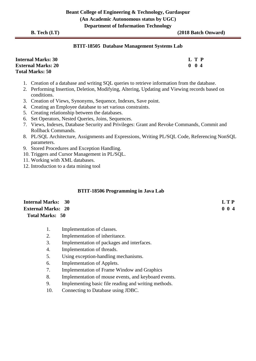#### **BTIT-18505 Database Management Systems Lab**

| <b>Internal Marks: 30</b> | L T P             |
|---------------------------|-------------------|
| <b>External Marks: 20</b> | $0\quad 0\quad 4$ |
| <b>Total Marks: 50</b>    |                   |

- 1. Creation of a database and writing SQL queries to retrieve information from the database.
- 2. Performing Insertion, Deletion, Modifying, Altering, Updating and Viewing records based on conditions.
- 3. Creation of Views, Synonyms, Sequence, Indexes, Save point.
- 4. Creating an Employee database to set various constraints.
- 5. Creating relationship between the databases.
- 6. Set Operators, Nested Queries, Joins, Sequences.
- 7. Views, Indexes, Database Security and Privileges: Grant and Revoke Commands, Commit and Rollback Commands.
- 8. PL/SQL Architecture, Assignments and Expressions, Writing PL/SQL Code, Referencing NonSQL parameters.
- 9. Stored Procedures and Exception Handling.
- 10. Triggers and Cursor Management in PL/SQL.
- 11. Working with XML databases.
- 12. Introduction to a data mining tool

#### **BTIT-18506 Programming in Java Lab**

| <b>Internal Marks: 30</b> | LTP         |
|---------------------------|-------------|
| <b>External Marks: 20</b> | $0 \t0 \t4$ |
| <b>Total Marks: 50</b>    |             |

- 1. Implementation of classes.
- 2. Implementation of inheritance.
- 3. Implementation of packages and interfaces.
- 4. Implementation of threads.
- 5. Using exception-handling mechanisms.
- 6. Implementation of Applets.
- 7. Implementation of Frame Window and Graphics
- 8. Implementation of mouse events, and keyboard events.
- 9. Implementing basic file reading and writing methods.
- 10. Connecting to Database using JDBC.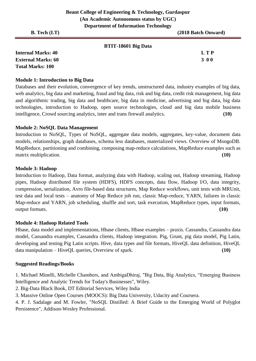#### **BTIT-18601 Big Data**

| <b>Internal Marks: 40</b> | L T P |
|---------------------------|-------|
| <b>External Marks: 60</b> | 300   |
| <b>Total Marks: 100</b>   |       |

#### **Module 1: Introduction to Big Data**

Databases and their evolution, convergence of key trends, unstructured data, industry examples of big data, web analytics, big data and marketing, fraud and big data, risk and big data, credit risk management, big data and algorithmic trading, big data and healthcare, big data in medicine, advertising and big data, big data technologies, introduction to Hadoop, open source technologies, cloud and big data mobile business intelligence, Crowd sourcing analytics, inter and trans firewall analytics. **(10)**

#### **Module 2: NoSQL Data Management**

Introduction to NoSQL, Types of NoSQL, aggregate data models, aggregates, key-value, document data models, relationships, graph databases, schema less databases, materialized views. Overview of MongoDB. MapReduce, partitioning and combining, composing map-reduce calculations, MapReduce examples such as matrix multiplication. **(10)** matrix multiplication.

#### **Module 3: Hadoop**

Introduction to Hadoop, Data format, analyzing data with Hadoop, scaling out, Hadoop streaming, Hadoop pipes, Hadoop distributed file system (HDFS), HDFS concepts, data flow, Hadoop I/O, data integrity, compression, serialization, Avro file-based data structures, Map Reduce workflows, unit tests with MRUnit, test data and local tests – anatomy of Map Reduce job run, classic Map-reduce, YARN, failures in classic Map-reduce and YARN, job scheduling, shuffle and sort, task execution, MapReduce types, input formats, output formats. **(10)**

#### **Module 4: Hadoop Related Tools**

Hbase, data model and implementations, Hbase clients, Hbase examples – praxis. Cassandra, Cassandra data model, Cassandra examples, Cassandra clients, Hadoop integration. Pig, Grunt, pig data model, Pig Latin, developing and testing Pig Latin scripts. Hive, data types and file formats, HiveQL data definition, HiveQL data manipulation – HiveQL queries, Overview of spark. **(10)**

#### **Suggested Readings/Books**

1. Michael Minelli, Michelle Chambers, and AmbigaDhiraj, "Big Data, Big Analytics, "Emerging Business Intelligence and Analytic Trends for Today's Businesses", Wiley.

2. Big-Data Black Book, DT Editorial Services, Wiley India

3. Massive Online Open Courses (MOOCS): Big Data University, Udacity and Coursera.

4. P. J. Sadalage and M. Fowler, "NoSQL Distilled: A Brief Guide to the Emerging World of Polyglot Persistence", Addison-Wesley Professional.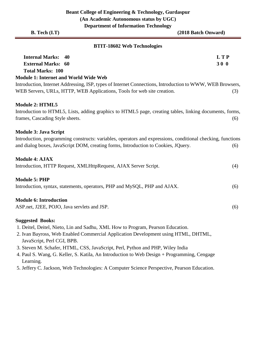| B. Tech (I.T)                                                                                                                                                                                                                     | (2018 Batch Onward) |
|-----------------------------------------------------------------------------------------------------------------------------------------------------------------------------------------------------------------------------------|---------------------|
| <b>BTIT-18602 Web Technologies</b>                                                                                                                                                                                                |                     |
| <b>Internal Marks:</b><br>40<br><b>External Marks: 60</b><br><b>Total Marks: 100</b>                                                                                                                                              | <b>LTP</b><br>300   |
| <b>Module 1: Internet and World Wide Web</b>                                                                                                                                                                                      |                     |
| Introduction, Internet Addressing, ISP, types of Internet Connections, Introduction to WWW, WEB Browsers,<br>WEB Servers, URLs, HTTP, WEB Applications, Tools for web site creation.                                              | (3)                 |
| <b>Module 2: HTML5</b><br>Introduction to HTML5, Lists, adding graphics to HTML5 page, creating tables, linking documents, forms,<br>frames, Cascading Style sheets.                                                              | (6)                 |
| <b>Module 3: Java Script</b><br>Introduction, programming constructs: variables, operators and expressions, conditional checking, functions<br>and dialog boxes, JavaScript DOM, creating forms, Introduction to Cookies, JQuery. | (6)                 |
| <b>Module 4: AJAX</b><br>Introduction, HTTP Request, XMLHttpRequest, AJAX Server Script.                                                                                                                                          | (4)                 |
| <b>Module 5: PHP</b><br>Introduction, syntax, statements, operators, PHP and MySQL, PHP and AJAX.                                                                                                                                 | (6)                 |
| <b>Module 6: Introduction</b><br>ASP.net, J2EE, POJO, Java servlets and JSP.                                                                                                                                                      | (6)                 |
| <b>Suggested Books:</b><br>1. Deitel, Deitel, Nieto, Lin and Sadhu, XML How to Program, Pearson Education.                                                                                                                        |                     |

- 2. Ivan Bayross, Web Enabled Commercial Application Development using HTML, DHTML, JavaScript, Perl CGI, BPB.
- 3. Steven M. Schafer, HTML, CSS, JavaScript, Perl, Python and PHP, Wiley India
- 4. Paul S. Wang, G. Keller, S. Katila, An Introduction to Web Design + Programming, Cengage Learning.
- 5. Jeffery C. Jackson, Web Technologies: A Computer Science Perspective, Pearson Education.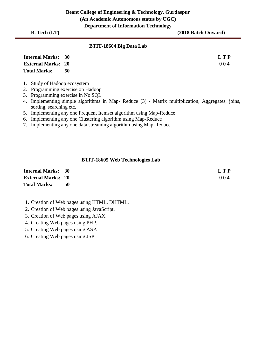**Beant College of Engineering & Technology, Gurdaspur (An Academic Autonomous status by UGC) Department of Information Technology** 

**B. Tech (I.T)** (2018 Batch Onward)

#### **BTIT-18604 Big Data Lab**

| <b>Internal Marks: 30</b> |    | LTP |
|---------------------------|----|-----|
| <b>External Marks: 20</b> |    | 004 |
| <b>Total Marks:</b>       | 50 |     |

- 1. Study of Hadoop ecosystem
- 2. Programming exercise on Hadoop
- 3. Programming exercise in No SQL
- 4. Implementing simple algorithms in Map- Reduce (3) Matrix multiplication, Aggregates, joins, sorting, searching etc.
- 5. Implementing any one Frequent Itemset algorithm using Map-Reduce
- 6. Implementing any one Clustering algorithm using Map-Reduce
- 7. Implementing any one data streaming algorithm using Map-Reduce

#### **BTIT-18605 Web Technologies Lab**

| <b>Internal Marks: 30</b> |    | L T P |
|---------------------------|----|-------|
| <b>External Marks: 20</b> |    | 004   |
| <b>Total Marks:</b>       | 50 |       |

- 1. Creation of Web pages using HTML, DHTML.
- 2. Creation of Web pages using JavaScript.
- 3. Creation of Web pages using AJAX.
- 4. Creating Web pages using PHP.
- 5. Creating Web pages using ASP.
- 6. Creating Web pages using JSP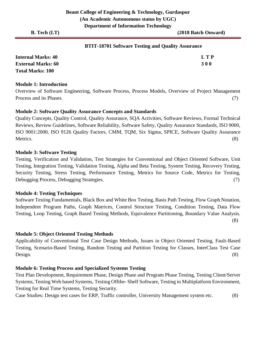| <b>BTIT-18701 Software Testing and Quality Assurance</b> |  |  |
|----------------------------------------------------------|--|--|
|----------------------------------------------------------|--|--|

| <b>Internal Marks: 40</b> | L T P      |
|---------------------------|------------|
| <b>External Marks: 60</b> | <b>300</b> |
| <b>Total Marks: 100</b>   |            |

#### **Module 1: Introduction**

Overview of Software Engineering, Software Process, Process Models, Overview of Project Management Process and its Phases. (7)

#### **Module 2: Software Quality Assurance Concepts and Standards**

Quality Concepts, Quality Control, Quality Assurance, SQA Activities, Software Reviews, Formal Technical Reviews, Review Guidelines, Software Reliability, Software Safety, Quality Assurance Standards, ISO 9000, ISO 9001:2000, ISO 9126 Quality Factors, CMM, TQM, Six Sigma, SPICE, Software Quality Assurance Metrics. (8)

#### **Module 3: Software Testing**

Testing, Verification and Validation, Test Strategies for Conventional and Object Oriented Software, Unit Testing, Integration Testing, Validation Testing, Alpha and Beta Testing, System Testing, Recovery Testing, Security Testing, Stress Testing, Performance Testing, Metrics for Source Code, Metrics for Testing, Debugging Process, Debugging Strategies. (7)

#### **Module 4: Testing Techniques**

Software Testing Fundamentals, Black Box and White Box Testing, Basis Path Testing, Flow Graph Notation, Independent Program Paths, Graph Matrices, Control Structure Testing, Condition Testing, Data Flow Testing, Loop Testing, Graph Based Testing Methods, Equivalence Partitioning, Boundary Value Analysis. (8)

#### **Module 5: Object Oriented Testing Methods**

Applicability of Conventional Test Case Design Methods, Issues in Object Oriented Testing, Fault-Based Testing, Scenario-Based Testing, Random Testing and Partition Testing for Classes, InterClass Test Case Design. (8)

#### **Module 6: Testing Process and Specialized Systems Testing**

Test Plan Development, Requirement Phase, Design Phase and Program Phase Testing, Testing Client/Server Systems, Testing Web based Systems, Testing Offthe- Shelf Software, Testing in Multiplatform Environment, Testing for Real Time Systems, Testing Security.

Case Studies: Design test cases for ERP, Traffic controller, University Management system etc. (8)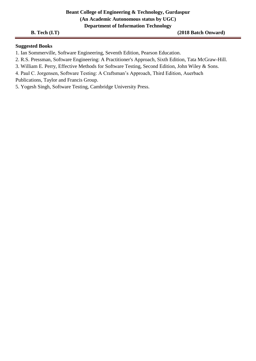#### **Beant College of Engineering & Technology, Gurdaspur (An Academic Autonomous status by UGC) Department of Information Technology**

**B. Tech (I.T)** (2018 Batch Onward)

#### **Suggested Books**

1. Ian Sommerville, Software Engineering, Seventh Edition, Pearson Education.

2. R.S. Pressman, Software Engineering: A Practitioner's Approach, Sixth Edition, Tata McGraw-Hill.

3. William E. Perry, Effective Methods for Software Testing, Second Edition, John Wiley & Sons.

4. Paul C. Jorgensen, Software Testing: A Craftsman's Approach, Third Edition, Auerbach

Publications, Taylor and Francis Group.

5. Yogesh Singh, Software Testing, Cambridge University Press.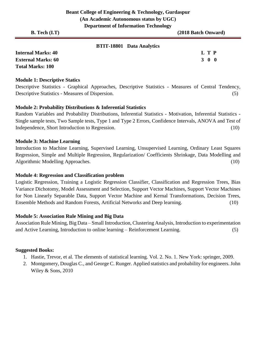| $B.$ Tech $(I.T)$ | $PQQH$ and $QI$ and $PQHQHQHQHQQQ$ | (2018 Batch Onward) |
|-------------------|------------------------------------|---------------------|
|                   | RTIT-18801 Data Analytics          |                     |

#### **BTIT-18801 Data Analytics**

**Internal Marks: 40 L T P External Marks: 60 3 0 0** 3 0 0 3 0 0 3 0 0 3 0 0 3 0 0 3 0 4  $\sigma$  3 0 0 3 0 0 3 0  $\sigma$ **Total Marks: 100** 

#### **Module 1: Descriptive Statics**

Descriptive Statistics - Graphical Approaches, Descriptive Statistics - Measures of Central Tendency, Descriptive Statistics - Measures of Dispersion. (5)

#### **Module 2: Probability Distributions & Inferential Statistics**

Random Variables and Probability Distributions, Inferential Statistics - Motivation, Inferential Statistics - Single sample tests, Two Sample tests, Type 1 and Type 2 Errors, Confidence Intervals, ANOVA and Test of Independence, Short Introduction to Regression. (10)

#### **Module 3: Machine Learning**

Introduction to Machine Learning, Supervised Learning, Unsupervised Learning, Ordinary Least Squares Regression, Simple and Multiple Regression, Regularization/ Coefficients Shrinkage, Data Modelling and Algorithmic Modelling Approaches. (10)

#### **Module 4: Regression and Classification problem**

Logistic Regression, Training a Logistic Regression Classifier, Classification and Regression Trees, Bias Variance Dichotomy, Model Assessment and Selection, Support Vector Machines, Support Vector Machines for Non Linearly Separable Data, Support Vector Machine and Kernal Transformations, Decision Trees, Ensemble Methods and Random Forests, Artificial Networks and Deep learning. (10)

#### **Module 5: Association Rule Mining and Big Data**

Association Rule Mining, Big Data – Small Introduction, Clustering Analysis, Introduction to experimentation and Active Learning, Introduction to online learning – Reinforcement Learning. (5)

- 1. Hastie, Trevor, et al. The elements of statistical learning. Vol. 2. No. 1. New York: springer, 2009.
- 2. Montgomery, Douglas C., and George C. Runger. Applied statistics and probability for engineers. John Wiley & Sons, 2010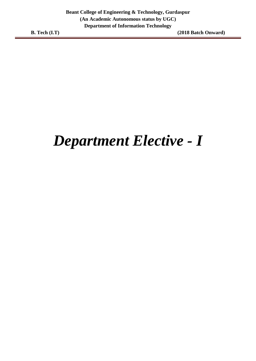### *Department Elective - I*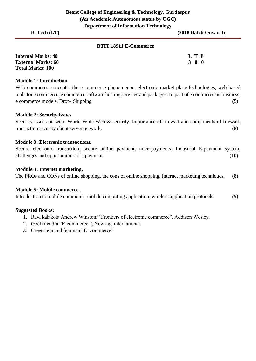#### **BTIT 18911 E-Commerce**

| <b>Internal Marks: 40</b> | L T P |
|---------------------------|-------|
| <b>External Marks: 60</b> | 300   |
| <b>Total Marks: 100</b>   |       |

#### **Module 1: Introduction**

Web commerce concepts- the e commerce phenomenon, electronic market place technologies, web based tools for e commerce, e commerce software hosting services and packages. Impact of e commerce on business, e commerce models, Drop- Shipping. (5)

#### **Module 2: Security issues**

Security issues on web- World Wide Web & security. Importance of firewall and components of firewall, transaction security client server network. (8)

#### **Module 3: Electronic transactions.**

Secure electronic transaction, secure online payment, micropayments, Industrial E-payment system, challenges and opportunities of e payment. (10)

#### **Module 4: Internet marketing.**

The PROs and CONs of online shopping, the cons of online shopping, Internet marketing techniques. (8)

#### **Module 5: Mobile commerce.**

Introduction to mobile commerce, mobile computing application, wireless application protocols. (9)

- 1. Ravi kalakota Andrew Winston," Frontiers of electronic commerce", Addison Wesley.
- 2. Goel ritendra "E-commerce ", New age international.
- 3. Greenstein and feinman,"E- commerce"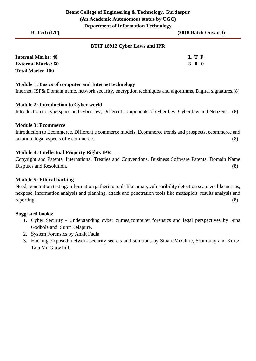#### **BTIT 18912 Cyber Laws and IPR**

| <b>Internal Marks: 40</b> | $\mathbf{L} \mathbf{T} \mathbf{P}$ |
|---------------------------|------------------------------------|
| <b>External Marks: 60</b> | 300                                |
| <b>Total Marks: 100</b>   |                                    |

#### **Module 1: Basics of computer and Internet technology**

Internet, ISP& Domain name, network security, encryption techniques and algorithms, Digital signatures.(8)

#### **Module 2: Introduction to Cyber world**

Introduction to cyberspace and cyber law, Different components of cyber law, Cyber law and Netizens. (8)

#### **Module 3: Ecommerce**

Introduction to Ecommerce, Different e commerce models, Ecommerce trends and prospects, ecommerce and taxation, legal aspects of e commerce. (8)

#### **Module 4: Intellectual Property Rights IPR**

Copyright and Patents, International Treaties and Conventions, Business Software Patents, Domain Name Disputes and Resolution. (8)

#### **Module 5: Ethical hacking**

Need, penetration testing: Information gathering tools like nmap, vulnearibility detection scanners like nessus, nexpose, information analysis and planning, attack and penetration tools like metasploit, results analysis and reporting. (8)

- 1. Cyber Security Understanding cyber crimes,computer forensics and legal perspectives by Nina Godbole and Sunit Belapure.
- 2. System Forensics by Ankit Fadia.
- 3. Hacking Exposed: network security secrets and solutions by Stuart McClure, Scambray and Kurtz. Tata Mc Graw hill.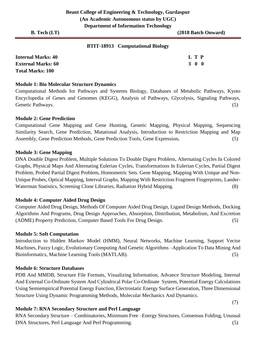#### **BTIT-18913 Computational Biology**

| <b>Internal Marks: 40</b> | L T P |  |
|---------------------------|-------|--|
| <b>External Marks: 60</b> | 300   |  |
| <b>Total Marks: 100</b>   |       |  |

#### **Module 1: Bio Molecular Structure Dynamics**

Computational Methods for Pathways and Systems Biology, Databases of Metabolic Pathways, Kyoto Encyclopedia of Genes and Genomes (KEGG), Analysis of Pathways, Glycolysis, Signaling Pathways, Genetic Pathways. (5)

#### **Module 2: Gene Prediction**

Computational Gene Mapping and Gene Hunting, Genetic Mapping, Physical Mapping, Sequencing Similarity Search, Gene Prediction, Mutational Analysis, Introduction to Restriction Mapping and Map Assembly, Gene Prediction Methods, Gene Prediction Tools, Gene Expression**.** (5)

#### **Module 3: Gene Mapping**

DNA Double Digest Problem, Multiple Solutions To Double Digest Problem, Alternating Cycles In Colored Graphs, Physical Maps And Alternating Eulerian Cycles, Transformations In Eulerian Cycles, Partial Digest Problem, Probed Partial Digest Problem, Homometric Sets. Gene Mapping, Mapping With Unique and Non-Unique Probes, Optical Mapping, Interval Graphs, Mapping With Restriction Fragment Fingerprints, Lander-Waterman Statistics, Screening Clone Libraries, Radiation Hybrid Mapping. (8)

#### **Module 4: Computer Aided Drug Design**

Computer Aided Drug Design, Methods Of Computer Aided Drug Design, Ligand Design Methods, Docking Algorithms And Programs, Drug Design Approaches, Absorption, Distribution, Metabolism, And Excretion (ADME) Property Prediction, Computer Based Tools For Drug Design. (5)

#### **Module 5: Soft Computation**

Introduction to Hidden Markov Model (HMM), Neural Networks, Machine Learning, Support Vector Machines, Fuzzy Logic, Evolutionary Computing And Genetic Algorithms –Application To Data Mining And Bioinformatics, Machine Learning Tools (MATLAB). (5)

#### **Module 6: Structure Databases**

PDB And MMDB, Structure File Formats, Visualizing Information, Advance Structure Modeling, Internal And External Co-Ordinate System And Cylindrical Polar Co-Ordinate System, Potential Energy Calculations Using Semiempirical Potential Energy Function, Electrostatic Energy Surface Generation, Three Dimensional Structure Using Dynamic Programming Methods, Molecular Mechanics And Dynamics.

#### **Module 7: RNA Secondary Structure and Perl Language**

RNA Secondary Structure – Combinatories, Minimum Free –Energy Structures, Consensus Folding, Unusual DNA Structures, Perl Language And Perl Programming. (5)

(7)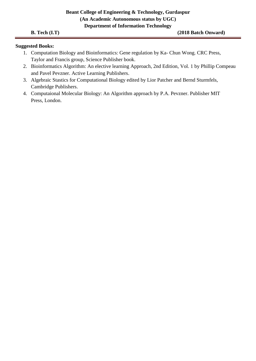#### **Beant College of Engineering & Technology, Gurdaspur (An Academic Autonomous status by UGC) Department of Information Technology**

- 1. Computation Biology and Bioinformatics: Gene regulation by Ka- Chun Wong. CRC Press, Taylor and Francis group, Science Publisher book.
- 2. Bioinformatics Algorithm: An elective learning Approach, 2nd Edition, Vol. 1 by Phillip Compeau and Pavel Pevzner. Active Learning Publishers.
- 3. Algebraic Stastics for Computational Biology edited by Lior Patcher and Bernd Sturmfels, Cambridge Publishers.
- 4. Computaional Molecular Biology: An Algorithm approach by P.A. Pevzner. Publisher MIT Press, London.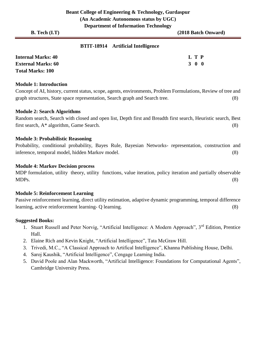#### **BTIT-18914 Artificial Intelligence**

| <b>Internal Marks: 40</b> | L T P |
|---------------------------|-------|
| <b>External Marks: 60</b> | 300   |
| <b>Total Marks: 100</b>   |       |

#### **Module 1: Introduction**

Concept of AI, history, current status, scope, agents, environments, Problem Formulations, Review of tree and graph structures, State space representation, Search graph and Search tree. (8)

#### **Module 2: Search Algorithms**

Random search, Search with closed and open list, Depth first and Breadth first search, Heuristic search, Best first search, A\* algorithm, Game Search. (8)

#### **Module 3: Probabilistic Reasoning**

Probability, conditional probability, Bayes Rule, Bayesian Networks- representation, construction and inference, temporal model, hidden Markov model. (8)

#### **Module 4: Markov Decision process**

MDP formulation, utility theory, utility functions, value iteration, policy iteration and partially observable MDPs. (8)

#### **Module 5: Reinforcement Learning**

Passive reinforcement learning, direct utility estimation, adaptive dynamic programming, temporal difference learning, active reinforcement learning- Q learning. (8)

- 1. Stuart Russell and Peter Norvig, "Artificial Intelligence: A Modern Approach", 3<sup>rd</sup> Edition, Prentice Hall.
- 2. Elaine Rich and Kevin Knight, "Artificial Intelligence", Tata McGraw Hill.
- 3. Trivedi, M.C., "A Classical Approach to Artifical Intelligence", Khanna Publishing House, Delhi.
- 4. Saroj Kaushik, "Artificial Intelligence", Cengage Learning India.
- 5. David Poole and Alan Mackworth, "Artificial Intelligence: Foundations for Computational Agents", Cambridge University Press.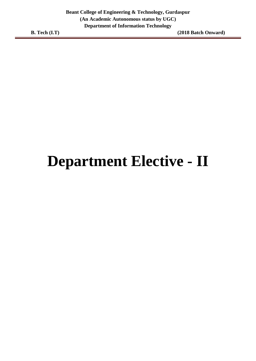## **Department Elective - II**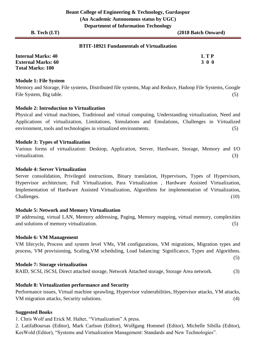#### **BTIT-18921 Fundamentals of Virtualization**

| <b>Internal Marks: 40</b> | L T P |
|---------------------------|-------|
| <b>External Marks: 60</b> | 3 0 0 |
| <b>Total Marks: 100</b>   |       |

#### **Module 1: File System**

Memory and Storage, File systems, Distributed file systems, Map and Reduce, Hadoop File Systems, Google File System, Big table. (5)

#### **Module 2: Introduction to Virtualization**

Physical and virtual machines, Traditional and virtual computing, Understanding virtualization, Need and Applications of virtualization, Limitations, Simulations and Emulations, Challenges in Virtualized environment, tools and technologies in virtualized environments. (5)

#### **Module 3: Types of Virtualization**

Various forms of virtualization: Desktop, Application, Server, Hardware, Storage, Memory and I/O virtualization. (3)

#### **Module 4: Server Virtualization**

Server consolidation, Privileged instructions, Binary translation, Hypervisors, Types of Hypervisors, Hypervisor architecture, Full Virtualization, Para Virtualization , Hardware Assisted Virtualization, Implementation of Hardware Assisted Virtualization, Algorithms for implementation of Virtualization, Challenges. (10)

#### **Module 5: Network and Memory Virtualization**

IP addressing, virtual LAN, Memory addressing, Paging, Memory mapping, virtual memory, complexities and solutions of memory virtualization.(5)

#### **Module 6: VM Management**

VM lifecycle, Process and system level VMs, VM configurations, VM migrations, Migration types and process, VM provisioning, Scaling,VM scheduling, Load balancing: Significance, Types and Algorithms.

#### **Module 7: Storage virtualization**

RAID, SCSI, iSCSI, Direct attached storage, Network Attached storage, Storage Area network.(3)

#### **Module 8: Virtualization performance and Security**

Performance issues, Virtual machine sprawling, Hypervisor vulnerabilities, Hypervisor attacks, VM attacks, VM migration attacks, Security solutions. (4)

#### **Suggested Books**

1. Chris Wolf and Erick M. Halter, "Virtualization" A press.

2. LatifaBoursas (Editor), Mark Carlson (Editor), Wolfgang Hommel (Editor), Michelle Sibilla (Editor), KesWold (Editor), "Systems and Virtualization Management: Standards and New Technologies".

(5)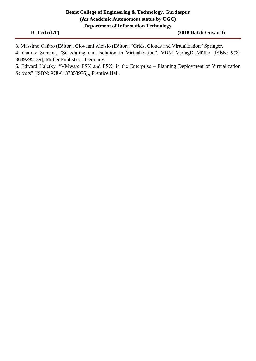#### **Beant College of Engineering & Technology, Gurdaspur (An Academic Autonomous status by UGC) Department of Information Technology**

3. Massimo Cafaro (Editor), Giovanni Aloisio (Editor), "Grids, Clouds and Virtualization" Springer.

4. Gaurav Somani, "Scheduling and Isolation in Virtualization", VDM VerlagDr.Müller [ISBN: 978- 3639295139], Muller Publishers, Germany.

5. Edward Haletky, "VMware ESX and ESXi in the Enterprise – Planning Deployment of Virtualization Servers" [ISBN: 978-0137058976]., Prentice Hall.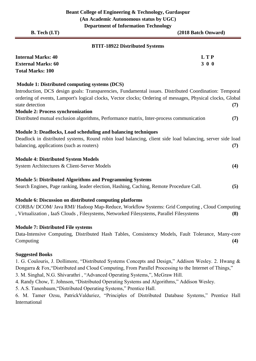**B. Tech (I.T) (2018 Batch Onward) BTIT-18922 Distributed Systems Internal Marks: 40 L T P External Marks: 60 3 0 0** 3 0 0 3 0 0 3 0 0 3 0 0 3 0 0 3 0 0 3 0 0 3 0 0 3 0  $\mu$ **Total Marks: 100**

#### **Module 1: Distributed computing systems (DCS)**

Introduction, DCS design goals: Transparencies, Fundamental issues. Distributed Coordination: Temporal ordering of events, Lamport's logical clocks, Vector clocks; Ordering of messages, Physical clocks, Global state detection **(7) Module 2: Process synchronization**

Distributed mutual exclusion algorithms, Performance matrix, Inter-process communication **(7)**

#### **Module 3: Deadlocks, Load scheduling and balancing techniques**

Deadlock in distributed systems, Round robin load balancing, client side load balancing, server side load balancing, applications (such as routers) (7)

#### **Module 4: Distributed System Models**

System Architectures & Client-Server Models **(4)**

#### **Module 5: Distributed Algorithms and Programming Systems**

Search Engines, Page ranking, leader election, Hashing, Caching, Remote Procedure Call. **(5)**

#### **Module 6: Discussion on distributed computing platforms**

CORBA/ DCOM/ Java RMI/ Hadoop Map-Reduce, Workflow Systems: Grid Computing , Cloud Computing , Virtualization , IaaS Clouds , Filesystems, Networked Filesystems, Parallel Filesystems **(8)**

#### **Module 7: Distributed File systems**

Data-Intensive Computing, Distributed Hash Tables, Consistency Models, Fault Tolerance, Many-core Computing **(4)**

#### **Suggested Books**

1. G. Coulouris, J. Dollimore, "Distributed Systems Concepts and Design," Addison Wesley. 2. Hwang & Dongarra & Fox, "Distributed and Cloud Computing, From Parallel Processing to the Internet of Things,"

3. M. Singhal, N.G. Shivarathri , "Advanced Operating Systems,", McGraw Hill.

4. Randy Chow, T. Johnson, "Distributed Operating Systems and Algorithms," Addison Wesley.

5. A.S. Tanenbaum,"Distributed Operating Systems," Prentice Hall.

6. M. Tamer Ozsu, PatrickValduriez, "Principles of Distributed Database Systems," Prentice Hall International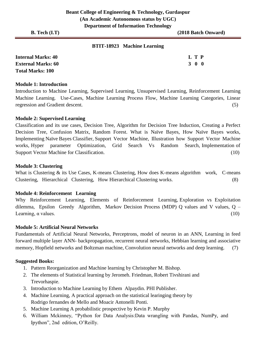#### **BTIT-18923 Machine Learning**

| <b>Internal Marks: 40</b> | L T P |
|---------------------------|-------|
| <b>External Marks: 60</b> | 300   |
| <b>Total Marks: 100</b>   |       |

#### **Module 1: Introduction**

Introduction to Machine Learning, Supervised Learning, Unsupervised Learning, Reinforcement Learning Machine Learning. Use-Cases, Machine Learning Process Flow, Machine Learning Categories, Linear regression and Gradient descent. (5)

#### **Module 2: Supervised Learning**

Classification and its use cases, Decision Tree, Algorithm for Decision Tree Induction, Creating a Perfect Decision Tree, Confusion Matrix, Random Forest. What is Naïve Bayes, How Naïve Bayes works, Implementing Naïve Bayes Classifier, Support Vector Machine, Illustration how Support Vector Machine works, Hyper parameter Optimization, Grid Search Vs Random Search, Implementation of Support Vector Machine for Classification. (10)

#### **Module 3: Clustering**

What is Clustering & its Use Cases, K-means Clustering, How does K-means algorithm work, C-means Clustering, Hierarchical Clustering, How Hierarchical Clustering works. (8)

#### **Module 4: Reinforcement Learning**

Why Reinforcement Learning, Elements of Reinforcement Learning, Exploration vs Exploitation dilemma, Epsilon Greedy Algorithm, Markov Decision Process (MDP) Q values and V values, Q – Learning,  $\alpha$  values. (10)

#### **Module 5: Artificial Neural Networks**

Fundamentals of Artificial Neural Networks, Perceptrons, model of neuron in an ANN, Learning in feed forward multiple layer ANN- backpropagation, recurrent neural networks, Hebbian learning and associative memory, Hopfield networks and Boltzman machine, Convolution neural networks and deep learning. (7)

- 1. Pattern Reorganization and Machine learning by Christopher M. Bishop.
- 2. The elements of Statistical learning by Jeromeh. Friedman, Robert Tivshirani and Trevorhaspie.
- 3. Introduction to Machine Learning by Ethem Alpaydin. PHI Publisher.
- 4. Machine Learning, A practical approach on the statistical learinging theory by Rodrigo fernandes de Mello and Moacir Antonelli Ponti.
- 5. Machine Learning A probabilistic prospective by Kevin P. Murphy
- 6. William Mckinney, "Python for Data Analysis:Data wrangling with Pandas, NumPy, and Ipython", 2nd edition, O'Reilly.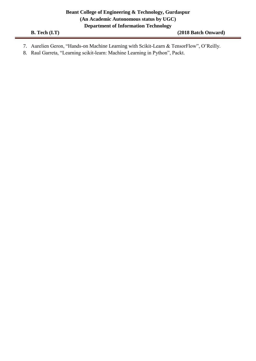|  | $B.$ Tech $(I.T)$ |  |
|--|-------------------|--|
|--|-------------------|--|

- 7. Aurelien Geron, "Hands-on Machine Learning with Scikit-Learn & TensorFlow", O'Reilly.
- 8. Raul Garreta, "Learning scikit-learn: Machine Learning in Python", Packt.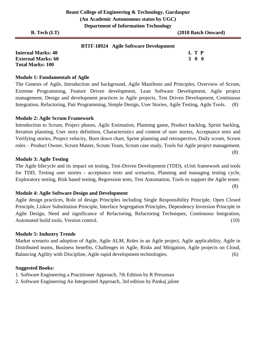(8)

#### **BTIT-18924 Agile Software Development**

| <b>Internal Marks: 40</b> | L T P |             |
|---------------------------|-------|-------------|
| <b>External Marks: 60</b> |       | $3 \t0 \t0$ |
| <b>Total Marks: 100</b>   |       |             |

#### **Module 1: Fundamentals of Agile**

The Genesis of Agile, Introduction and background, Agile Manifesto and Principles, Overview of Scrum, Extreme Programming, Feature Driven development, Lean Software Development, Agile project management, Design and development practices in Agile projects, Test Driven Development, Continuous Integration, Refactoring, Pair Programming, Simple Design, User Stories, Agile Testing, Agile Tools. (8)

#### **Module 2: Agile Scrum Framework**

Introduction to Scrum, Project phases, Agile Estimation, Planning game, Product backlog, Sprint backlog, Iteration planning, User story definition, Characteristics and content of user stories, Acceptance tests and Verifying stories, Project velocity, Burn down chart, Sprint planning and retrospective, Daily scrum, Scrum roles – Product Owner, Scrum Master, Scrum Team, Scrum case study, Tools for Agile project management.

#### **Module 3: Agile Testing**

The Agile lifecycle and its impact on testing, Test-Driven Development (TDD), xUnit framework and tools for TDD, Testing user stories - acceptance tests and scenarios, Planning and managing testing cycle, Exploratory testing, Risk based testing, Regression tests, Test Automation, Tools to support the Agile tester. (8)

#### **Module 4: Agile Software Design and Development**

Agile design practices, Role of design Principles including Single Responsibility Principle, Open Closed Principle, Liskov Substitution Principle, Interface Segregation Principles, Dependency Inversion Principle in Agile Design, Need and significance of Refactoring, Refactoring Techniques, Continuous Integration, Automated build tools, Version control. (10)

#### **Module 5: Industry Trends**

Market scenario and adoption of Agile, Agile ALM, Roles in an Agile project, Agile applicability, Agile in Distributed teams, Business benefits, Challenges in Agile, Risks and Mitigation, Agile projects on Cloud, Balancing Agility with Discipline, Agile rapid development technologies. (6)

- 1. Software Engineering a Practitioner Approach, 7th Edition by R Pressman
- 2. Software Engineering An Integerated Approach, 3rd edition by Pankaj jalote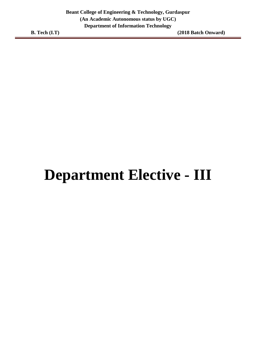### **Department Elective - III**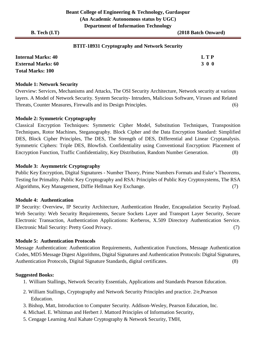#### **BTIT-18931 Cryptography and Network Security**

| <b>Internal Marks: 40</b> | <b>LTP</b> |
|---------------------------|------------|
| <b>External Marks: 60</b> | 3 0 0      |
| <b>Total Marks: 100</b>   |            |

#### **Module 1: Network Security**

Overview: Services, Mechanisms and Attacks, The OSI Security Architecture, Network security at various layers. A Model of Network Security. System Security- Intruders, Malicious Software, Viruses and Related Threats, Counter Measures, Firewalls and its Design Principles. (6)

#### **Module 2: Symmetric Cryptography**

Classical Encryption Techniques: Symmetric Cipher Model, Substitution Techniques, Transposition Techniques, Rotor Machines, Steganography. Block Cipher and the Data Encryption Standard: Simplified DES, Block Cipher Principles, The DES, The Strength of DES, Differential and Linear Cryptanalysis. Symmetric Ciphers: Triple DES, Blowfish. Confidentiality using Conventional Encryption: Placement of Encryption Function, Traffic Confidentiality, Key Distribution, Random Number Generation. (8)

#### **Module 3: Asymmetric Cryptography**

Public Key Encryption, Digital Signatures - Number Theory, Prime Numbers Formats and Euler's Theorems, Testing for Primality. Public Key Cryptography and RSA: Principles of Public Key Cryptosystems, The RSA Algorithms, Key Management, Diffie Hellman Key Exchange. (7)

#### **Module 4: Authentication**

IP Security: Overview, IP Security Architecture, Authentication Header, Encapsulation Security Payload. Web Security: Web Security Requirements, Secure Sockets Layer and Transport Layer Security, Secure Electronic Transaction, Authentication Applications: Kerberos, X.509 Directory Authentication Service. Electronic Mail Security: Pretty Good Privacy. (7)

#### **Module 5: Authentication Protocols**

Message Authentication: Authentication Requirements, Authentication Functions, Message Authentication Codes, MD5 Message Digest Algorithms, Digital Signatures and Authentication Protocols: Digital Signatures, Authentication Protocols, Digital Signature Standards, digital certificates. (8)

- 1. William Stallings, Network Security Essentials, Applications and Standards Pearson Education.
- 2. William Stallings, Cryptography and Network Security Principles and practice. 2/e,Pearson Education.
- 3. Bishop, Matt, Introduction to Computer Security. Addison-Wesley, Pearson Education, Inc.
- 4. Michael. E. Whitman and Herbert J. Mattord Principles of Information Security,
- 5. Cengage Learning Atul Kahate Cryptography & Network Security, TMH,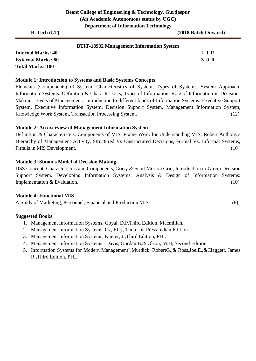#### **BTIT-18932 Management Information System**

**Internal Marks: 40 L T P External Marks: 60 3 0 0** 3 0 0 3 0 0 3 0 0 3 0 0 3 0 0 3 0 0 3 0  $\sigma$ **Total Marks: 100**

#### **Module 1: Introduction to Systems and Basic Systems Concepts**

Elements (Components) of System, Characteristics of System, Types of Systems, System Approach. Information Systems: Definition & Characteristics, Types of Information, Role of Information in Decision-Making, Levels of Management. Introduction to different kinds of Information Systems: Executive Support System, Executive Information System, Decision Support System, Management Information System, Knowledge Work System, Transaction Processing System.(12)

#### **Module 2: An overview of Management Information System**

Definition & Characteristics, Components of MIS, Frame Work for Understanding MIS: Robert Anthony's Hierarchy of Management Activity, Structured Vs Unstructured Decisions, Formal Vs. Informal Systems, Pitfalls in MIS Development. (10)

#### **Module 3: Simon's Model of Decision Making**

DSS Concept, Characteristics and Components, Gorry & Scott Morton Grid, Introduction to Group Decision Support System. Developing Information Systems: Analysis & Design of Information Systems: Implementation & Evaluation. (10)

#### **Module 4: Functional MIS**

A Study of Marketing, Personnel, Financial and Production MIS. (8)

- 1. Management Information Systems, Goyal, D.P.Third Edition, Macmillan.
- 2. Management Information Systems, Oz, Effy, Thomson Press Indian Edition.
- 3. Management Information Systems, Kanter, J.,Third Edition, PHI.
- 4. Management Information Systems , Davis, Gordan B.& Olson, M.H, Second Edition
- 5. Information Systems for Modern Management",Murdick, RobertG.,& Ross,JoelE.,&Claggett, James R.,Third Edition, PHI.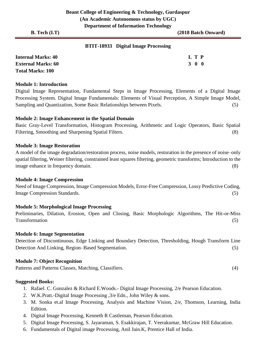#### **BTIT-18933 Digital Image Processing**

| <b>Internal Marks: 40</b> | L T P |
|---------------------------|-------|
| <b>External Marks: 60</b> | 3 0 0 |
| <b>Total Marks: 100</b>   |       |

#### **Module 1: Introduction**

Digital Image Representation, Fundamental Steps in Image Processing, Elements of a Digital Image Processing System. Digital Image Fundamentals: Elements of Visual Perception, A Simple Image Model, Sampling and Quantization, Some Basic Relationships between Pixels. (5)

#### **Module 2: Image Enhancement in the Spatial Domain**

Basic Gray-Level Transformation, Histogram Processing, Arithmetic and Logic Operators, Basic Spatial Filtering, Smoothing and Sharpening Spatial Filters. (8)

#### **Module 3: Image Restoration**

A model of the image degradation/restoration process, noise models, restoration in the presence of noise–only spatial filtering, Weiner filtering, constrained least squares filtering, geometric transforms; Introduction to the image enhance in frequency domain. (8)

#### **Module 4: Image Compression**

Need of Image Compression, Image Compression Models, Error-Free Compression, Lossy Predictive Coding, Image Compression Standards. (5)

#### **Module 5: Morphological Image Processing**

Preliminaries, Dilation, Erosion, Open and Closing, Basic Morphologic Algorithms, The Hit-or-Miss Transformation (5)

#### **Module 6: Image Segmentation**

Detection of Discontinuous, Edge Linking and Boundary Detection, Thresholding, Hough Transform Line Detection And Linking, Region–Based Segmentation. (5)

#### **Module 7: Object Recognition**

Patterns and Patterns Classes, Matching, Classifiers. (4)

- 1. Rafael. C. Gonzalez & Richard E.Woods.- Digital Image Processing, 2/e Pearson Education.
- 2. W.K.Pratt.-Digital Image Processing ,3/e Edn., John Wiley & sons.
- 3. M. Sonka et.al Image Processing, Analysis and Machine Vision, 2/e, Thomson, Learning, India Edition.
- 4. Digital Image Processing, Kenneth R Castleman, Pearson Education.
- 5. Digital Image Processing, S. Jayaraman, S. Esakkirajan, T. Veerakumar, McGraw Hill Education.
- 6. Fundamentals of Digital image Processing, Anil Jain.K, Prentice Hall of India.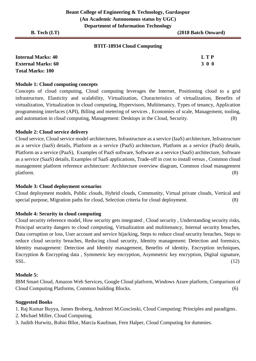#### **BTIT-18934 Cloud Computing**

| <b>Internal Marks: 40</b> | <b>LTP</b> |
|---------------------------|------------|
| <b>External Marks: 60</b> | 3 0 0      |
| <b>Total Marks: 100</b>   |            |

#### **Module 1: Cloud computing concepts**

Concepts of cloud computing, Cloud computing leverages the Internet, Positioning cloud to a grid infrastructure, Elasticity and scalability, Virtualization, Characteristics of virtualization, Benefits of virtualization, Virtualization in cloud computing, Hypervisors, Multitenancy, Types of tenancy, Application programming interfaces (API), Billing and metering of services , Economies of scale, Management, tooling, and automation in cloud computing, Management: Desktops in the Cloud, Security. (8)

#### **Module 2: Cloud service delivery**

Cloud service, Cloud service model architectures, Infrastructure as a service (IaaS) architecture, Infrastructure as a service (IaaS) details, Platform as a service (PaaS) architecture, Platform as a service (PaaS) details, Platform as a service (PaaS), Examples of PaaS software, Software as a service (SaaS) architecture, Software as a service (SaaS) details, Examples of SaaS applications, Trade-off in cost to install versus , Common cloud management platform reference architecture: Architecture overview diagram, Common cloud management platform. (8)

#### **Module 3: Cloud deployment scenarios**

Cloud deployment models, Public clouds, Hybrid clouds, Community, Virtual private clouds, Vertical and special purpose, Migration paths for cloud, Selection criteria for cloud deployment. (8)

#### **Module 4: Security in cloud computing**

Cloud security reference model, How security gets integrated , Cloud security , Understanding security risks, Principal security dangers to cloud computing, Virtualization and multitenancy, Internal security breaches, Data corruption or loss, User account and service hijacking, Steps to reduce cloud security breaches, Steps to reduce cloud security breaches, Reducing cloud security, Identity management: Detection and forensics, Identity management: Detection and Identity management, Benefits of identity, Encryption techniques, Encryption & Encrypting data , Symmetric key encryption, Asymmetric key encryption, Digital signature,  $SSL.$  (12)

#### **Module 5:**

IBM Smart Cloud, Amazon Web Services, Google Cloud platform, Windows Azure platform, Comparison of Cloud Computing Platforms, Common building Blocks. (6)

#### **Suggested Books**

1. Raj Kumar Buyya, James Broberg, Andrezei M.Goscinski, Cloud Computing: Principles and paradigms.

- 2. Michael Miller, Cloud Computing.
- 3. Judith Hurwitz, Robin Bllor, Marcia Kaufman, Fern Halper, Cloud Computing for dummies.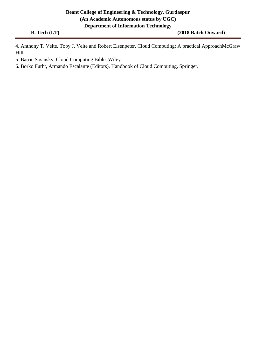4. Anthony T. Velte, Toby J. Velte and Robert Elsenpeter, Cloud Computing: A practical ApproachMcGraw Hill.

5. Barrie Sosinsky, Cloud Computing Bible, Wiley.

6. Borko Furht, Armando Escalante (Editors), Handbook of Cloud Computing, Springer.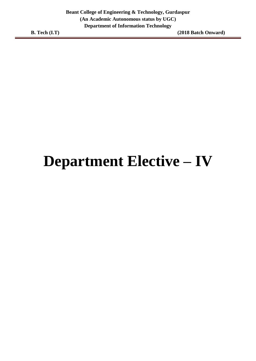### **Department Elective – IV**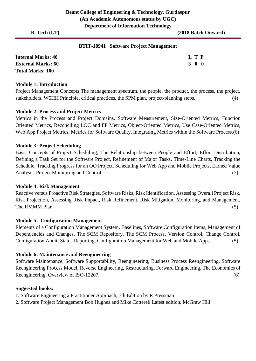#### **BTIT-18941 Software Project Management**

| <b>Internal Marks: 40</b> | L T P |
|---------------------------|-------|
| <b>External Marks: 60</b> | 3 0 0 |
| <b>Total Marks: 100</b>   |       |

#### **Module 1: Introduction**

Project Management Concepts The management spectrum, the people, the product, the process, the project, stakeholders, W5HH Principle, critical practices, the SPM plan, project-planning steps. (4)

#### **Module 2: Process and Project Metrics**

Metrics in the Process and Project Domains, Software Measurement, Size-Oriented Metrics, Function Oriented Metrics, Reconciling LOC and FP Metrics, Object-Oriented Metrics, Use Case-Oriented Metrics, Web App Project Metrics, Metrics for Software Quality, Integrating Metrics within the Software Process.(6)

#### **Module 3: Project Scheduling**

Basic Concepts of Project Scheduling, The Relationship between People and Effort, Effort Distribution, Defining a Task Set for the Software Project, Refinement of Major Tasks, Time-Line Charts, Tracking the Schedule, Tracking Progress for an OO Project, Scheduling for Web App and Mobile Projects, Earned Value Analysis, Project Monitoring and Control. (7)

#### **Module 4: Risk Management**

Reactive versus Proactive Risk Strategies, Software Risks, Risk Identification, Assessing Overall Project Risk, Risk Projection, Assessing Risk Impact, Risk Refinement, Risk Mitigation, Monitoring, and Management, The RMMM Plan. (5)

#### **Module 5: Configuration Management**

Elements of a Configuration Management System, Baselines, Software Configuration Items, Management of Dependencies and Changes, The SCM Repository, The SCM Process, Version Control, Change Control, Configuration Audit, Status Reporting, Configuration Management for Web and Mobile Apps (5)

#### **Module 6: Maintenance and Reengineering**

Software Maintenance, Software Supportability, Reengineering, Business Process Reengineering, Software Reengineering Process Model, Reverse Engineering, Restructuring, Forward Engineering, The Economics of Reengineering. Overview of ISO-12207. (6)

- 1. Software Engineering a Practitioner Approach, 7th Edition by R Pressman
- 2. Software Project Management Bob Hughes and Mike Cotterell Latest edition, McGraw Hill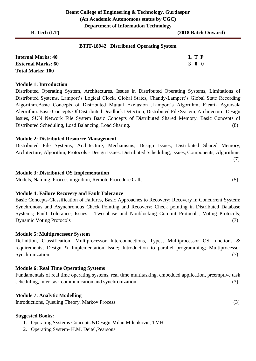#### **BTIT-18942 Distributed Operating System**

| <b>Internal Marks: 40</b> | L T P |  |
|---------------------------|-------|--|
| <b>External Marks: 60</b> | 300   |  |
| <b>Total Marks: 100</b>   |       |  |

#### **Module 1: Introduction**

Distributed Operating System, Architectures, Issues in Distributed Operating Systems, Limitations of Distributed Systems, Lamport's Logical Clock, Global States, Chandy-Lampert's Global State Recording Algorithm,Basic Concepts of Distributed Mutual Exclusion ,Lamport's Algorithm, Ricart- Agrawala Algorithm. Basic Concepts Of Distributed Deadlock Detection, Distributed File System, Architecture, Design Issues, SUN Network File System Basic Concepts of Distributed Shared Memory, Basic Concepts of Distributed Scheduling, Load Balancing, Load Sharing. (8)

#### **Module 2: Distributed Resource Management**

Distributed File Systems, Architecture, Mechanisms, Design Issues, Distributed Shared Memory, Architecture, Algorithm, Protocols - Design Issues. Distributed Scheduling, Issues, Components, Algorithms. (7)

#### **Module 3: Distributed OS Implementation**

Models, Naming, Process migration, Remote Procedure Calls. (5)

#### **Module 4: Failure Recovery and Fault Tolerance**

Basic Concepts-Classification of Failures, Basic Approaches to Recovery; Recovery in Concurrent System; Synchronous and Asynchronous Check Pointing and Recovery; Check pointing in Distributed Database Systems; Fault Tolerance; Issues - Two-phase and Nonblocking Commit Protocols; Voting Protocols; Dynamic Voting Protocols (7)

#### **Module 5: Multiprocessor System**

Definition, Classification, Multiprocessor Interconnections, Types, Multiprocessor OS functions & requirements; Design & Implementation Issue; Introduction to parallel programming; Multiprocessor Synchronization. (7)

#### **Module 6: Real Time Operating Systems**

Fundamentals of real time operating systems, real time multitasking, embedded application, preemptive task scheduling, inter-task communication and synchronization. (3)

#### **Module 7: Analytic Modelling**

Introductions, Queuing Theory, Markov Process. (3)

- 1. Operating Systems Concepts &Design-Milan Milenkovic, TMH
- 2. Operating System- H.M. Deitel,Pearsons.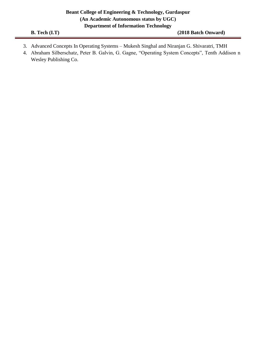- 3. Advanced Concepts In Operating Systems Mukesh Singhal and Niranjan G. Shivaratri, TMH
- 4. Abraham Silberschatz, Peter B. Galvin, G. Gagne, "Operating System Concepts", Tenth Addison n Wesley Publishing Co.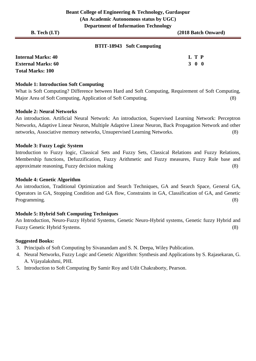# **BTIT-18943 Soft Computing**

| <b>Internal Marks: 40</b> | L T P |  |
|---------------------------|-------|--|
| <b>External Marks: 60</b> | 300   |  |
| <b>Total Marks: 100</b>   |       |  |

### **Module 1: Introduction Soft Computing**

What is Soft Computing? Difference between Hard and Soft Computing, Requirement of Soft Computing, Major Area of Soft Computing, Application of Soft Computing. (8)

### **Module 2: Neural Networks**

An introduction. Artificial Neural Network: An introduction, Supervised Learning Network: Perceptron Networks, Adaptive Linear Neuron, Multiple Adaptive Linear Neuron, Back Propagation Network and other networks, Associative memory networks, Unsupervised Learning Networks. (8)

### **Module 3: Fuzzy Logic System**

Introduction to Fuzzy logic, Classical Sets and Fuzzy Sets, Classical Relations and Fuzzy Relations, Membership functions, Defuzzification, Fuzzy Arithmetic and Fuzzy measures, Fuzzy Rule base and approximate reasoning, Fuzzy decision making (8)

### **Module 4: Genetic Algorithm**

An introduction, Traditional Optimization and Search Techniques, GA and Search Space, General GA, Operators in GA, Stopping Condition and GA flow, Constraints in GA, Classification of GA, and Genetic Programming. (8)

# **Module 5: Hybrid Soft Computing Techniques**

An Introduction, Neuro-Fuzzy Hybrid Systems, Genetic Neuro-Hybrid systems, Genetic fuzzy Hybrid and Fuzzy Genetic Hybrid Systems. (8)

- 3. Principals of Soft Computing by Sivanandam and S. N. Deepa, Wiley Publication.
- 4. Neural Networks, Fuzzy Logic and Genetic Algorithm: Synthesis and Applications by S. Rajasekaran, G. A. Vijayalakshmi, PHI.
- 5. Introduction to Soft Computing By Samir Roy and Udit Chakraborty, Pearson.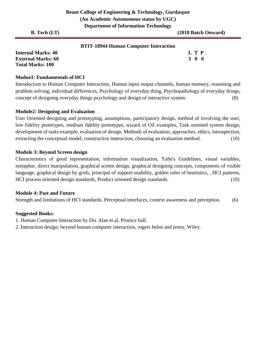|                           | D                                            |                     |
|---------------------------|----------------------------------------------|---------------------|
| <b>B.</b> Tech $(I.T)$    |                                              | (2018 Batch Onward) |
|                           | <b>BTIT-18944 Human Computer Interaction</b> |                     |
| <b>Internal Marks: 40</b> |                                              | L T P               |

**External Marks: 60 3 0 0** 3 0 0 3 0 0 3 0 0 3 0 0 3 0 0 3 0 0 3 0 4  $\sigma$ **Total Marks: 100** 

# **Modue1: Fundamentals of HCI**

Introduction to Human Computer Interaction, Human input output channels, human memory, reasoning and problem solving, individual differences, Psychology of everyday thing, Psychopathology of everyday things, concept of designing everyday things psychology and design of interactive system. (8)

# **Module2: Designing and Evaluation**

User Oriented designing and prototyping, assumptions, participatory design, method of involving the user, low fidelity prototypes, medium fidelity prototypes, wizard of OZ examples, Task oriented system design, development of tasks example, evaluation of design. Methods of evaluation, approaches, ethics, introspection, extracting the conceptual model, constructive interaction, choosing an evaluation method. (10)

# **Module 3: Beyond Screen design**

Characteristics of good representation, information visualization, Tufte's Guidelines, visual variables, metaphor, direct manipulation, graphical screen design, graphical designing concepts, components of visible language, graphical design by grids, principal of support usability, golden rules of heuristics, , HCI patterns, HCI process oriented design standards, Product oriented design standards. (10)

# **Module 4: Past and Future**

Strength and limitations of HCI standards, Perceptual interfaces, context awareness and perception. (6)

# **Suggested Books:**

1. Human Computer Interaction by Dix Alan et.al, Printice hall.

2. Interaction design: beyond human computer interaction, rogers helen and jenny, Wiley.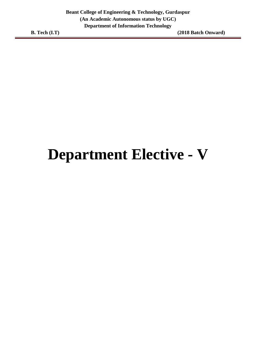# **Department Elective - V**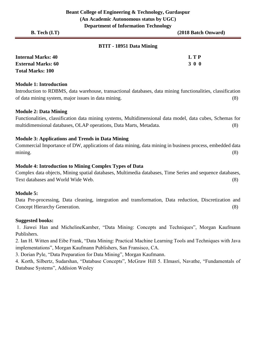| <b>B.</b> Tech $(I.T)$ |                          | (2018 Batch Onward) |
|------------------------|--------------------------|---------------------|
|                        | BTIT - 18951 Data Mining |                     |
| $Intomol Mouba 40$     |                          | חידי                |

| <b>Internal Marks: 40</b> | L T P |
|---------------------------|-------|
| <b>External Marks: 60</b> | 3 0 0 |
| <b>Total Marks: 100</b>   |       |

# **Module 1: Introduction**

Introduction to RDBMS, data warehouse, transactional databases, data mining functionalities, classification of data mining system, major issues in data mining. (8)

### **Module 2: Data Mining**

Functionalities, classification data mining systems, Multidimensional data model, data cubes, Schemas for multidimensional databases, OLAP operations, Data Marts, Metadata. (8)

# **Module 3: Applications and Trends in Data Mining**

Commercial Importance of DW, applications of data mining, data mining in business process, embedded data mining. (8)

### **Module 4: Introduction to Mining Complex Types of Data**

Complex data objects, Mining spatial databases, Multimedia databases, Time Series and sequence databases, Text databases and World Wide Web. (8)

#### **Module 5:**

Data Pre-processing, Data cleaning, integration and transformation, Data reduction, Discretization and Concept Hierarchy Generation. (8)

#### **Suggested books:**

1. Jiawei Han and MichelineKamber, "Data Mining: Concepts and Techniques", Morgan Kaufmann Publishers.

2. Ian H. Witten and Eibe Frank, "Data Mining: Practical Machine Learning Tools and Techniques with Java implementations", Morgan Kaufmann Publishers, San Fransisco, CA.

3. Dorian Pyle, "Data Preparation for Data Mining", Morgan Kaufmann.

4. Korth, Silbertz, Sudarshan, "Database Concepts", McGraw Hill 5. Elmasri, Navathe, "Fundamentals of Database Systems", Addision Wesley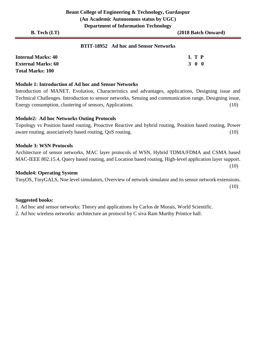(10)

# **BTIT-18952 Ad hoc and Sensor Networks**

| <b>Internal Marks: 40</b> | L T P |
|---------------------------|-------|
| <b>External Marks: 60</b> | 3 0 0 |
| <b>Total Marks: 100</b>   |       |

#### **Module 1: Introduction of Ad hoc and Sensor Networks**

Introduction of MANET, Evolution, Characteristics and advantages, applications, Designing issue and Technical Challenges. Introduction to sensor networks, Sensing and communication range, Designing issue, Energy consumption, clustering of sensors, Applications. (10)

### **Module2: Ad hoc Networks Outing Protocols**

Topology vs Position based routing, Proactive Reactive and hybrid routing, Position based routing, Power aware routing, associatively based routing, QoS routing. (10)

### **Module 3: WSN Protocols**

Architecture of sensor networks, MAC layer protocols of WSN, Hybrid TDMA/FDMA and CSMA based MAC-IEEE 802.15.4, Query based routing, and Location based routing, High-level application layer support.

### **Module4: Operating System**

TinyOS, TinyGALS, Noe level simulators, Overview of network simulator and its sensor network extensions. (10)

# **Suggested books:**

1. Ad hoc and sensor networks: Theory and applications by Carlos de Morais, World Scientific.

2. Ad hoc wireless networks: architecture an protocol by C siva Ram Murthy Printice hall.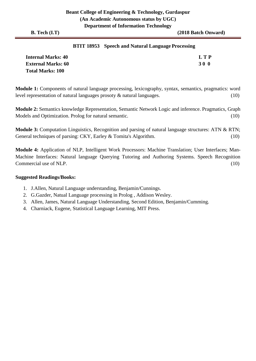## **BTIT 18953 Speech and Natural Language Processing**

| <b>Internal Marks: 40</b> | L T P |
|---------------------------|-------|
| <b>External Marks: 60</b> | 30 O  |
| <b>Total Marks: 100</b>   |       |

**Module 1:** Components of natural language processing, lexicography, syntax, semantics, pragmatics: word level representation of natural languages prosoty & natural languages. (10)

**Module 2:** Semantics knowledge Representation, Semantic Network Logic and inference. Pragmatics, Graph Models and Optimization. Prolog for natural semantic. (10)

**Module 3:** Computation Linguistics, Recognition and parsing of natural language structures: ATN & RTN; General techniques of parsing: CKY, Earley & Tomita's Algorithm. (10)

**Module 4:** Application of NLP, Intelligent Work Processors: Machine Translation; User Interfaces; Man-Machine Interfaces: Natural language Querying Tutoring and Authoring Systems. Speech Recognition Commercial use of NLP. (10)

#### **Suggested Readings/Books:**

- 1. J.Allen, Natural Language understanding, Benjamin/Cunnings.
- 2. G.Gazder, Natual Language processing in Prolog , Addison Wesley.
- 3. Allen, James, Natural Language Understanding, Second Edition, Benjamin/Cumming.
- 4. Charniack, Eugene, Statistical Language Learning, MIT Press.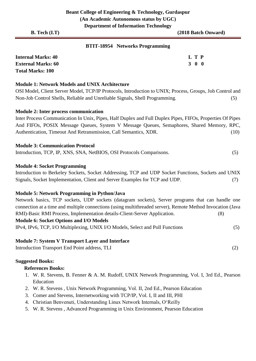# **BTIT-18954 Networks Programming**

| <b>Internal Marks: 40</b> | L T P |  |
|---------------------------|-------|--|
| <b>External Marks: 60</b> | 3 0 0 |  |
| <b>Total Marks: 100</b>   |       |  |

### **Module 1: Network Models and UNIX Architecture**

OSI Model, Client Server Model, TCP/IP Protocols, Introduction to UNIX; Process, Groups, Job Control and Non-Job Control Shells, Reliable and Unreliable Signals, Shell Programming. (5)

### **Module 2: Inter process communication**

Inter Process Communication In Unix, Pipes, Half Duplex and Full Duplex Pipes, FIFOs, Properties Of Pipes And FIFOs, POSIX Message Queues, System V Message Queues, Semaphores, Shared Memory, RPC, Authentication, Timeout And Retransmission, Call Semantics, XDR. (10)

#### **Module 3: Communication Protocol**

Introduction, TCP, IP, XNS, SNA, NetBIOS, OSI Protocols Comparisons. (5)

### **Module 4: Socket Programming**

Introduction to Berkeley Sockets, Socket Addressing, TCP and UDP Socket Functions, Sockets and UNIX Signals, Socket Implementation, Client and Server Examples for TCP and UDP. (7)

#### **Module 5: Network Programming in Python/Java**

Network basics, TCP sockets, UDP sockets (datagram sockets), Server programs that can handle one connection at a time and multiple connections (using multithreaded server), Remote Method Invocation (Java RMI)-Basic RMI Process, Implementation details-Client-Server Application. (8)

# **Module 6: Socket Options and I/O Models**

IPv4, IPv6, TCP, I/O Multiplexing, UNIX I/O Models, Select and Poll Functions (5)

# **Module 7: System V Transport Layer and Interface**

Introduction Transport End Point address, TLI (2)

#### **Suggested Books:**

#### **References Books:**

- 1. W. R. Stevens, B. Fenner & A. M. Rudoff, UNIX Network Programming, Vol. I, 3rd Ed., Pearson Education
- 2. W. R. Stevens , Unix Network Programming, Vol. II, 2nd Ed., Pearson Education
- 3. Comer and Stevens, Internetworking with TCP/IP, Vol. I, II and III, PHI
- 4. Christian Benvenuti, Understanding Linux Network Internals, O'Reilly
- 5. W. R. Stevens , Advanced Programming in Unix Environment, Pearson Education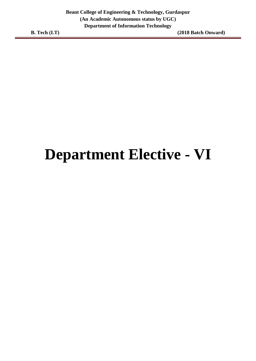# **Department Elective - VI**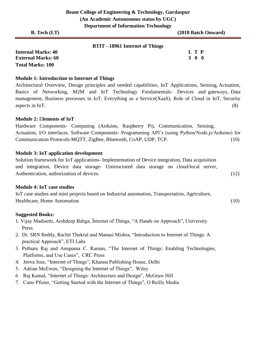| <b>B.</b> Tech $(I.T)$    | -                               | (2018 Batch Onward) |
|---------------------------|---------------------------------|---------------------|
|                           | BTIT - 18961 Internet of Things |                     |
| <b>Internal Marks: 40</b> |                                 | L T P               |
| <b>External Marks: 60</b> |                                 | 3 0 0               |

### **Module 1: Introduction to Internet of Things**

Architectural Overview, Design principles and needed capabilities, IoT Applications, Sensing, Actuation, Basics of Networking, M2M and IoT Technology Fundamentals- Devices and gateways, Data management, Business processes in IoT, Everything as a Service(XaaS), Role of Cloud in IoT, Security aspects in IoT. (8)

#### **Module 2:** E**lements of IoT**

**Total Marks: 100** 

Hardware Components- Computing (Arduino, Raspberry Pi), Communication, Sensing, Actuation, I/O interfaces. Software Components- Programming API's (using Python/Node.js/Arduino) for Communication Protocols-MQTT, ZigBee, Bluetooth, CoAP, UDP, TCP. (10)

### **Module 3: IoT application development**

Solution framework for IoT applications- Implementation of Device integration, Data acquisition and integration, Device data storage- Unstructured data storage on cloud/local server, Authentication, authorization of devices. (12)

#### **Module 4: IoT case studies**

IoT case studies and mini projects based on Industrial automation, Transportation, Agriculture, Healthcare, Home Automation (10)

- 1. Vijay Madisetti, Arshdeep Bahga, Ïnternet of Things, "A Hands on Approach", University Press
- 2. Dr. SRN Reddy, Rachit Thukral and Manasi Mishra, "Introduction to Internet of Things: A practical Approach", ETI Labs
- 3. Pethuru Raj and Anupama C. Raman, "The Internet of Things: Enabling Technologies, Platforms, and Use Cases", CRC Press
- 4. Jeeva Jose, "Internet of Things", Khanna Publishing House, Delhi
- 5. Adrian McEwen, "Designing the Internet of Things", Wiley
- 6. Raj Kamal, "Internet of Things: Architecture and Design", McGraw Hill
- 7. Cuno Pfister, "Getting Started with the Internet of Things", O Reilly Media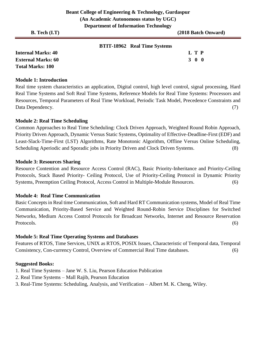| <b>B.</b> Tech $(I.T)$    |                                     | (2018 Batch Onward) |
|---------------------------|-------------------------------------|---------------------|
|                           | <b>BTIT-18962</b> Real Time Systems |                     |
| <b>Internal Marks: 40</b> |                                     | L T P               |

**External Marks: 60 3 0 0** 3 0 0 3 0 0 3 0 0 3 0 0 3 0 0 3 0 4  $\sigma$ **Total Marks: 100** 

#### **Module 1: Introduction**

Real time system characteristics an application, Digital control, high level control, signal processing, Hard Real Time Systems and Soft Real Time Systems, Reference Models for Real Time Systems: Processors and Resources, Temporal Parameters of Real Time Workload, Periodic Task Model, Precedence Constraints and Data Dependency. (7)

### **Module 2: Real Time Scheduling**

Common Approaches to Real Time Scheduling: Clock Driven Approach, Weighted Round Robin Approach, Priority Driven Approach, Dynamic Versus Static Systems, Optimality of Effective-Deadline-First (EDF) and Least-Slack-Time-First (LST) Algorithms, Rate Monotonic Algorithm, Offline Versus Online Scheduling, Scheduling Aperiodic and Sporadic jobs in Priority Driven and Clock Driven Systems. (8)

### **Module 3: Resources Sharing**

Resource Contention and Resource Access Control (RAC), Basic Priority-Inheritance and Priority-Ceiling Protocols, Stack Based Priority- Ceiling Protocol, Use of Priority-Ceiling Protocol in Dynamic Priority Systems, Preemption Ceiling Protocol, Access Control in Multiple-Module Resources. (6)

# **Module 4: Real Time Communication**

Basic Concepts in Real time Communication, Soft and Hard RT Communication systems, Model of Real Time Communication, Priority-Based Service and Weighted Round-Robin Service Disciplines for Switched Networks, Medium Access Control Protocols for Broadcast Networks, Internet and Resource Reservation Protocols. (6)

# **Module 5: Real Time Operating Systems and Databases**

Features of RTOS, Time Services, UNIX as RTOS, POSIX Issues, Characteristic of Temporal data, Temporal Consistency, Con-currency Control, Overview of Commercial Real Time databases. (6)

- 1. Real Time Systems Jane W. S. Liu, Pearson Education Publication
- 2. Real Time Systems Mall Rajib, Pearson Education
- 3. Real-Time Systems: Scheduling, Analysis, and Verification Albert M. K. Cheng, Wiley.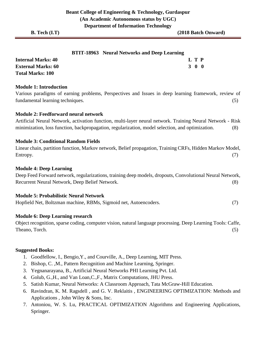| <b>BTIT-18963</b> Neural Networks and Deep Learning |
|-----------------------------------------------------|
|                                                     |

| <b>Internal Marks: 40</b> | L T P             |  |
|---------------------------|-------------------|--|
| <b>External Marks: 60</b> | $3\quad 0\quad 0$ |  |
| <b>Total Marks: 100</b>   |                   |  |

### **Module 1: Introduction**

Various paradigms of earning problems, Perspectives and Issues in deep learning framework, review of fundamental learning techniques. (5)

# **Module 2: Feedforward neural network**

Artificial Neural Network, activation function, multi-layer neural network. Training Neural Network - Risk minimization, loss function, backpropagation, regularization, model selection, and optimization. (8)

### **Module 3: Conditional Random Fields**

Linear chain, partition function, Markov network, Belief propagation, Training CRFs, Hidden Markov Model, Entropy. (7)

### **Module 4: Deep Learning**

Deep Feed Forward network, regularizations, training deep models, dropouts, Convolutional Neural Network, Recurrent Neural Network, Deep Belief Network. (8)

#### **Module 5: Probabilistic Neural Network**

Hopfield Net, Boltzman machine, RBMs, Sigmoid net, Autoencoders. (7)

#### **Module 6: Deep Learning research**

Object recognition, sparse coding, computer vision, natural language processing. Deep Learning Tools: Caffe, Theano, Torch. (5)

- 1. Goodfellow, I., Bengio,Y., and Courville, A., Deep Learning, MIT Press.
- 2. Bishop, C. ,M., Pattern Recognition and Machine Learning, Springer.
- 3. Yegnanarayana, B., Artificial Neural Networks PHI Learning Pvt. Ltd.
- 4. Golub, G.,H., and Van Loan,C.,F., Matrix Computations, JHU Press.
- 5. Satish Kumar, Neural Networks: A Classroom Approach, Tata McGraw-Hill Education.
- 6. Ravindran, K. M. Ragsdell , and G. V. Reklaitis , ENGINEERING OPTIMIZATION: Methods and Applications , John Wiley & Sons, Inc.
- 7. Antoniou, W. S. Lu, PRACTICAL OPTIMIZATION Algorithms and Engineering Applications, Springer.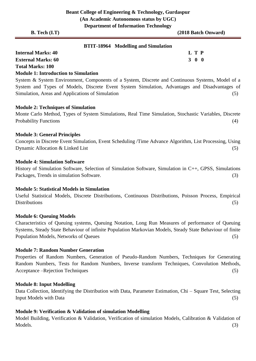| <b>B.</b> Tech $(I.T)$    |                                            | (2018 Batch Onward) |
|---------------------------|--------------------------------------------|---------------------|
|                           | <b>BTIT-18964</b> Modelling and Simulation |                     |
| <b>Internal Marks: 40</b> |                                            | L T P               |
| <b>External Marks: 60</b> |                                            | 300                 |

**Total Marks: 100** 

#### **Module 1: Introduction to Simulation**

System & System Environment, Components of a System, Discrete and Continuous Systems, Model of a System and Types of Models, Discrete Event System Simulation, Advantages and Disadvantages of Simulation, Areas and Applications of Simulation (5) (5)

### **Module 2: Techniques of Simulation**

Monte Carlo Method, Types of System Simulations, Real Time Simulation, Stochastic Variables, Discrete Probability Functions (4) (3) and the set of the set of the set of the set of the set of the set of the set of the set of the set of the set of the set of the set of the set of the set of the set of the set of the set of t

### **Module 3: General Principles**

Concepts in Discrete Event Simulation, Event Scheduling /Time Advance Algorithm, List Processing, Using Dynamic Allocation & Linked List (5)

### **Module 4: Simulation Software**

History of Simulation Software, Selection of Simulation Software, Simulation in C++, GPSS, Simulations Packages, Trends in simulation Software. (3)

# **Module 5: Statistical Models in Simulation**

Useful Statistical Models, Discrete Distributions, Continuous Distributions, Poisson Process, Empirical Distributions (5)

# **Module 6: Queuing Models**

Characteristics of Queuing systems, Queuing Notation, Long Run Measures of performance of Queuing Systems, Steady State Behaviour of infinite Population Markovian Models, Steady State Behaviour of finite Population Models, Networks of Queues (5)

#### **Module 7: Random Number Generation**

Properties of Random Numbers, Generation of Pseudo-Random Numbers, Techniques for Generating Random Numbers, Tests for Random Numbers, Inverse transform Techniques, Convolution Methods, Acceptance –Rejection Techniques (5)

#### **Module 8: Input Modelling**

Data Collection, Identifying the Distribution with Data, Parameter Estimation, Chi – Square Test, Selecting Input Models with Data (5)

# **Module 9: Verification & Validation of simulation Modelling**

Model Building, Verification & Validation, Verification of simulation Models, Calibration & Validation of Models. (3)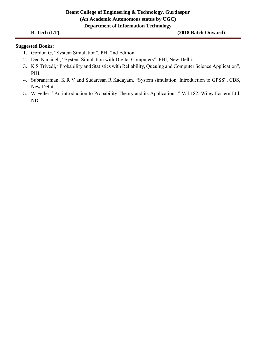# **Beant College of Engineering & Technology, Gurdaspur (An Academic Autonomous status by UGC) Department of Information Technology**

**B. Tech (I.T)** (2018 Batch Onward)

- 1. Gordon G, "System Simulation", PHI 2nd Edition.
- 2. Deo Narsingh, "System Simulation with Digital Computers", PHI, New Delhi.
- 3. K S Trivedi, "Probability and Statistics with Reliability, Queuing and Computer Science Application", PHI.
- 4. Subranranian, K R V and Sudaresan R Kadayam, "System simulation: Introduction to GPSS", CBS, New Delhi.
- 5. W Feller, "An introduction to Probability Theory and its Applications," Val 182, Wiley Eastern Ltd. ND.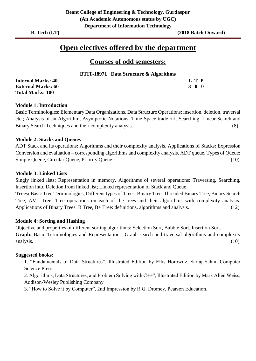# **Open electives offered by the department**

# **Courses of odd semesters:**

**BTIT-18971 Data Structure & Algorithms**

| <b>Internal Marks: 40</b> | L T P |
|---------------------------|-------|
| <b>External Marks: 60</b> | 300   |
| <b>Total Marks: 100</b>   |       |

# **Module 1: Introduction**

Basic Terminologies: Elementary Data Organizations, Data Structure Operations: insertion, deletion, traversal etc.; Analysis of an Algorithm, Asymptotic Notations, Time-Space trade off. Searching, Linear Search and Binary Search Techniques and their complexity analysis. (8)

# **Module 2: Stacks and Queues**

ADT Stack and its operations: Algorithms and their complexity analysis, Applications of Stacks: Expression Conversion and evaluation – corresponding algorithms and complexity analysis. ADT queue, Types of Queue: Simple Queue, Circular Queue, Priority Queue. (10)

# **Module 3: Linked Lists**

Singly linked lists: Representation in memory, Algorithms of several operations: Traversing, Searching, Insertion into, Deletion from linked list; Linked representation of Stack and Queue.

**Trees:** Basic Tree Terminologies, Different types of Trees: Binary Tree, Threaded Binary Tree, Binary Search Tree, AVL Tree; Tree operations on each of the trees and their algorithms with complexity analysis. Applications of Binary Trees. B Tree, B+ Tree: definitions, algorithms and analysis. (12)

# **Module 4: Sorting and Hashing**

Objective and properties of different sorting algorithms: Selection Sort, Bubble Sort, Insertion Sort. **Graph:** Basic Terminologies and Representations, Graph search and traversal algorithms and complexity analysis. (10)

# **Suggested books:**

1. "Fundamentals of Data Structures", Illustrated Edition by Ellis Horowitz, Sartaj Sahni, Computer Science Press.

2. Algorithms, Data Structures, and Problem Solving with C++", Illustrated Edition by Mark Allen Weiss, Addison-Wesley Publishing Company

3. "How to Solve it by Computer", 2nd Impression by R.G. Dromey, Pearson Education.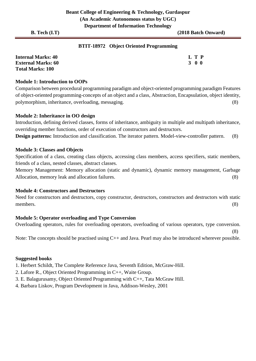# **BTIT-18972 Object Oriented Programming**

| <b>Internal Marks: 40</b> | L T P |
|---------------------------|-------|
| <b>External Marks: 60</b> | 300   |
| <b>Total Marks: 100</b>   |       |

# **Module 1: Introduction to OOPs**

Comparison between procedural programming paradigm and object-oriented programming paradigm Features of object-oriented programming-concepts of an object and a class, Abstraction, Encapsulation, object identity, polymorphism, inheritance, overloading, messaging. (8)

### **Module 2: Inheritance in OO design**

Introduction, defining derived classes, forms of inheritance, ambiguity in multiple and multipath inheritance, overriding member functions, order of execution of constructors and destructors.

**Design patterns:** Introduction and classification. The iterator pattern. Model-view-controller pattern. (8)

#### **Module 3: Classes and Objects**

Specification of a class, creating class objects, accessing class members, access specifiers, static members, friends of a class, nested classes, abstract classes.

Memory Management: Memory allocation (static and dynamic), dynamic memory management, Garbage Allocation, memory leak and allocation failures. (8)

### **Module 4: Constructors and Destructors**

Need for constructors and destructors, copy constructor, destructors, constructors and destructors with static members. (8)

# **Module 5: Operator overloading and Type Conversion**

Overloading operators, rules for overloading operators, overloading of various operators, type conversion. (8)

Note: The concepts should be practised using C++ and Java. Pearl may also be introduced wherever possible.

#### **Suggested books**

1. Herbert Schildt, The Complete Reference Java, Seventh Edition, McGraw-Hill.

- 2. Lafore R., Object Oriented Programming in C++, Waite Group.
- 3. E. Balagurusamy, Object Oriented Programming with C++, Tata McGraw Hill.
- 4. Barbara Liskov, Program Development in Java, Addison-Wesley, 2001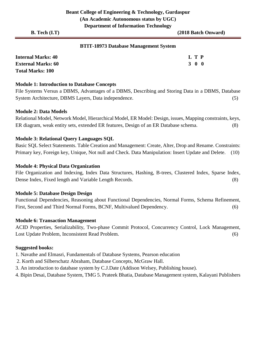# **BTIT-18973 Database Management System**

| <b>Internal Marks: 40</b> | L T P |  |
|---------------------------|-------|--|
| <b>External Marks: 60</b> | 300   |  |
| <b>Total Marks: 100</b>   |       |  |

#### **Module 1: Introduction to Database Concepts**

File Systems Versus a DBMS, Advantages of a DBMS, Describing and Storing Data in a DBMS, Database System Architecture, DBMS Layers, Data independence. (5)

### **Module 2: Data Models**

Relational Model, Network Model, Hierarchical Model, ER Model: Design, issues, Mapping constraints, keys, ER diagram, weak entity sets, extended ER features, Design of an ER Database schema. (8)

# **Module 3: Relational Query Languages SQL**

Basic SQL Select Statements. Table Creation and Management: Create, Alter, Drop and Rename. Constraints: Primary key, Foreign key, Unique, Not null and Check. Data Manipulation: Insert Update and Delete. (10)

### **Module 4: Physical Data Organization**

File Organization and Indexing, Index Data Structures, Hashing, B-trees, Clustered Index, Sparse Index, Dense Index, Fixed length and Variable Length Records. (8)

#### **Module 5: Database Design Design**

Functional Dependencies, Reasoning about Functional Dependencies, Normal Forms, Schema Refinement, First, Second and Third Normal Forms, BCNF, Multivalued Dependency. (6)

# **Module 6: Transaction Management**

ACID Properties, Serializability, Two-phase Commit Protocol, Concurrency Control, Lock Management, Lost Update Problem, Inconsistent Read Problem. (6)

- 1. Navathe and Elmasri, Fundamentals of Database Systems, Pearson education
- 2. Korth and Silberschatz Abraham, Database Concepts, McGraw Hall.
- 3. An introduction to database system by C.J.Date (Addison Welsey, Publishing house).
- 4. Bipin Desai, Database System, TMG 5. Prateek Bhatia, Database Management system, Kalayani Publishers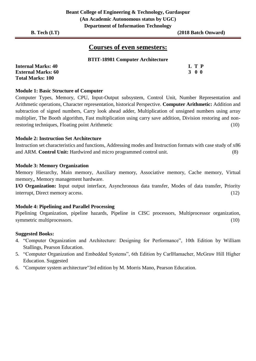# **Courses of even semesters:**

# **BTIT-18981 Computer Architecture**

| <b>Internal Marks: 40</b> | L T P |
|---------------------------|-------|
| <b>External Marks: 60</b> | 3 O O |
| <b>Total Marks: 100</b>   |       |

#### **Module 1: Basic Structure of Computer**

Computer Types, Memory, CPU, Input-Output subsystem, Control Unit, Number Representation and Arithmetic operations, Character representation, historical Perspective. **Computer Arithmetic:** Addition and subtraction of signed numbers, Carry look ahead adder, Multiplication of unsigned numbers using array multiplier, The Booth algorithm, Fast multiplication using carry save addition, Division restoring and nonrestoring techniques, Floating point Arithmetic (10)

### **Module 2: Instruction Set Architecture**

Instruction set characteristics and functions, Addressing modes and Instruction formats with case study of x86 and ARM. **Control Unit:** Hardwired and micro programmed control unit. (8)

### **Module 3: Memory Organization**

Memory Hierarchy, Main memory, Auxiliary memory, Associative memory, Cache memory, Virtual memory,, Memory management hardware.

**I/O Organization:** Input output interface, Asynchronous data transfer, Modes of data transfer, Priority interrupt, Direct memory access. (12)

#### **Module 4: Pipelining and Parallel Processing**

Pipelining Organization, pipeline hazards, Pipeline in CISC processors, Multiprocessor organization, symmetric multiprocessors. (10)

- 4. "Computer Organization and Architecture: Designing for Performance", 10th Edition by William Stallings, Pearson Education.
- 5. "Computer Organization and Embedded Systems", 6th Edition by CarlHamacher, McGraw Hill Higher Education. Suggested
- 6. "Computer system architecture"3rd edition by M. Morris Mano, Pearson Education.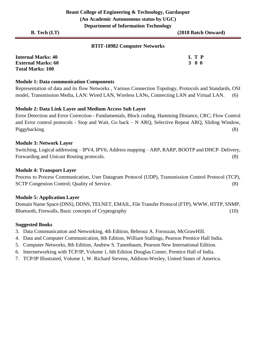### **BTIT-18982 Computer Networks**

| <b>Internal Marks: 40</b> | L T P |
|---------------------------|-------|
| <b>External Marks: 60</b> | 300   |
| <b>Total Marks: 100</b>   |       |

#### **Module 1: Data communication Components**

Representation of data and its flow Networks , Various Connection Topology, Protocols and Standards, OSI model, Transmission Media, LAN: Wired LAN, Wireless LANs, Connecting LAN and Virtual LAN. (6)

#### **Module 2: Data Link Layer and Medium Access Sub Layer**

Error Detection and Error Correction - Fundamentals, Block coding, Hamming Distance, CRC; Flow Control and Error control protocols - Stop and Wait, Go back – N ARQ, Selective Repeat ARQ, Sliding Window, Piggybacking. (8)

#### **Module 3: Network Layer**

Switching, Logical addressing – IPV4, IPV6; Address mapping – ARP, RARP, BOOTP and DHCP–Delivery, Forwarding and Unicast Routing protocols. (8)

#### **Module 4: Transport Layer**

Process to Process Communication, User Datagram Protocol (UDP), Transmission Control Protocol (TCP), SCTP Congestion Control; Quality of Service. (8)

#### **Module 5: Application Layer**

Domain Name Space (DNS), DDNS, TELNET, EMAIL, File Transfer Protocol (FTP), WWW, HTTP, SNMP, Bluetooth, Firewalls, Basic concepts of Cryptography (10)

- 3. Data Communication and Networking, 4th Edition, Behrouz A. Forouzan, McGrawHill.
- 4. Data and Computer Communication, 8th Edition, William Stallings, Pearson Prentice Hall India.
- 5. Computer Networks, 8th Edition, Andrew S. Tanenbaum, Pearson New International Edition.
- 6. Internetworking with TCP/IP, Volume 1, 6th Edition Douglas Comer, Prentice Hall of India.
- 7. TCP/IP Illustrated, Volume 1, W. Richard Stevens, Addison-Wesley, United States of America.